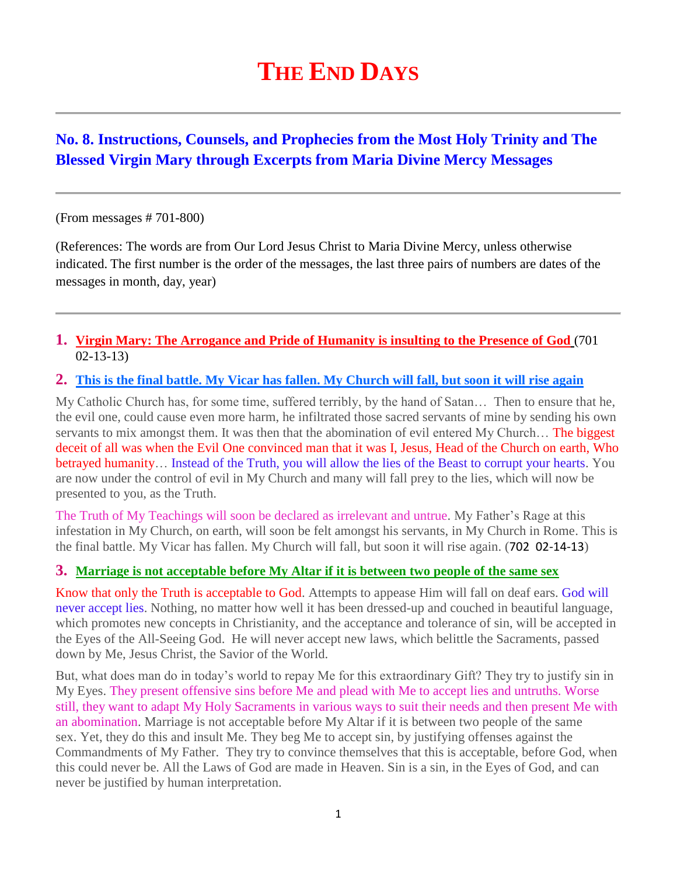# **THE END DAYS**

# **No. 8. Instructions, Counsels, and Prophecies from the Most Holy Trinity and The Blessed Virgin Mary through Excerpts from Maria Divine Mercy Messages**

#### (From messages # 701-800)

(References: The words are from Our Lord Jesus Christ to Maria Divine Mercy, unless otherwise indicated. The first number is the order of the messages, the last three pairs of numbers are dates of the messages in month, day, year)

## **1. [Virgin Mary: The Arrogance and Pride of Humanity is insulting to the Presence of God](http://www.thewarningsecondcoming.com/virgin-mary-the-arrogance-and-pride-of-humanity-is-insulting-to-the-presence-of-god/)** (701 02-13-13)

#### **2. [This is the final battle. My Vicar has fallen. My Church will fall, but soon it will rise again](http://www.thewarningsecondcoming.com/this-is-the-final-battle-my-vicar-has-fallen-my-church-will-fall-but-soon-it-will-rise-again/)**

My Catholic Church has, for some time, suffered terribly, by the hand of Satan… Then to ensure that he, the evil one, could cause even more harm, he infiltrated those sacred servants of mine by sending his own servants to mix amongst them. It was then that the abomination of evil entered My Church... The biggest deceit of all was when the Evil One convinced man that it was I, Jesus, Head of the Church on earth, Who betrayed humanity… Instead of the Truth, you will allow the lies of the Beast to corrupt your hearts. You are now under the control of evil in My Church and many will fall prey to the lies, which will now be presented to you, as the Truth.

The Truth of My Teachings will soon be declared as irrelevant and untrue. My Father's Rage at this infestation in My Church, on earth, will soon be felt amongst his servants, in My Church in Rome. This is the final battle. My Vicar has fallen. My Church will fall, but soon it will rise again. (702 02-14-13)

## **3. [Marriage is not acceptable before My Altar if it is between two people of the same sex](http://www.thewarningsecondcoming.com/marriage-is-not-acceptable-before-my-altar-if-it-is-between-two-people-of-the-same-sex/)**

Know that only the Truth is acceptable to God. Attempts to appease Him will fall on deaf ears. God will never accept lies. Nothing, no matter how well it has been dressed-up and couched in beautiful language, which promotes new concepts in Christianity, and the acceptance and tolerance of sin, will be accepted in the Eyes of the All-Seeing God. He will never accept new laws, which belittle the Sacraments, passed down by Me, Jesus Christ, the Savior of the World.

But, what does man do in today's world to repay Me for this extraordinary Gift? They try to justify sin in My Eyes. They present offensive sins before Me and plead with Me to accept lies and untruths. Worse still, they want to adapt My Holy Sacraments in various ways to suit their needs and then present Me with an abomination. Marriage is not acceptable before My Altar if it is between two people of the same sex. Yet, they do this and insult Me. They beg Me to accept sin, by justifying offenses against the Commandments of My Father. They try to convince themselves that this is acceptable, before God, when this could never be. All the Laws of God are made in Heaven. Sin is a sin, in the Eyes of God, and can never be justified by human interpretation.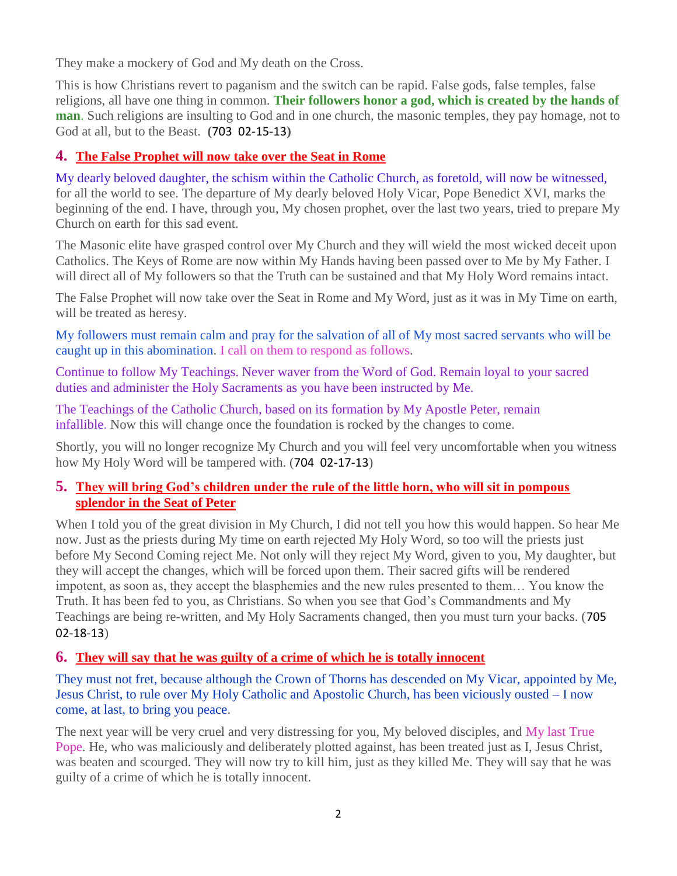They make a mockery of God and My death on the Cross.

This is how Christians revert to paganism and the switch can be rapid. False gods, false temples, false religions, all have one thing in common. **Their followers honor a god, which is created by the hands of man**. Such religions are insulting to God and in one church, the masonic temples, they pay homage, not to God at all, but to the Beast. **(**703 02-15-13**)** 

# **4. [The False Prophet will now take over the Seat in Rome](http://www.thewarningsecondcoming.com/the-false-prophet-will-now-take-over-the-seat-in-rome/)**

My dearly beloved daughter, the schism within the Catholic Church, as foretold, will now be witnessed, for all the world to see. The departure of My dearly beloved Holy Vicar, Pope Benedict XVI, marks the beginning of the end. I have, through you, My chosen prophet, over the last two years, tried to prepare My Church on earth for this sad event.

The Masonic elite have grasped control over My Church and they will wield the most wicked deceit upon Catholics. The Keys of Rome are now within My Hands having been passed over to Me by My Father. I will direct all of My followers so that the Truth can be sustained and that My Holy Word remains intact.

The False Prophet will now take over the Seat in Rome and My Word, just as it was in My Time on earth, will be treated as heresy.

My followers must remain calm and pray for the salvation of all of My most sacred servants who will be caught up in this abomination. I call on them to respond as follows.

Continue to follow My Teachings. Never waver from the Word of God. Remain loyal to your sacred duties and administer the Holy Sacraments as you have been instructed by Me.

The Teachings of the Catholic Church, based on its formation by My Apostle Peter, remain infallible. Now this will change once the foundation is rocked by the changes to come.

Shortly, you will no longer recognize My Church and you will feel very uncomfortable when you witness how My Holy Word will be tampered with. (704 02-17-13)

## **5. [They will bring God's children under the rule of the little horn, who will sit in pompous](http://www.thewarningsecondcoming.com/they-will-bring-gods-children-under-the-rule-of-the-little-horn-who-will-sit-in-pompous-splendour-in-the-seat-of-peter/)  [splendor in the Seat of Peter](http://www.thewarningsecondcoming.com/they-will-bring-gods-children-under-the-rule-of-the-little-horn-who-will-sit-in-pompous-splendour-in-the-seat-of-peter/)**

When I told you of the great division in My Church, I did not tell you how this would happen. So hear Me now. Just as the priests during My time on earth rejected My Holy Word, so too will the priests just before My Second Coming reject Me. Not only will they reject My Word, given to you, My daughter, but they will accept the changes, which will be forced upon them. Their sacred gifts will be rendered impotent, as soon as, they accept the blasphemies and the new rules presented to them… You know the Truth. It has been fed to you, as Christians. So when you see that God's Commandments and My Teachings are being re-written, and My Holy Sacraments changed, then you must turn your backs. (705 02-18-13)

## **6. [They will say that he was guilty of a crime of which he is totally innocent](http://www.thewarningsecondcoming.com/they-will-say-that-he-was-guilty-of-a-crime-of-which-he-is-totally-innocent/)**

They must not fret, because although the Crown of Thorns has descended on My Vicar, appointed by Me, Jesus Christ, to rule over My Holy Catholic and Apostolic Church, has been viciously ousted – I now come, at last, to bring you peace.

The next year will be very cruel and very distressing for you, My beloved disciples, and My last True Pope. He, who was maliciously and deliberately plotted against, has been treated just as I, Jesus Christ, was beaten and scourged. They will now try to kill him, just as they killed Me. They will say that he was guilty of a crime of which he is totally innocent.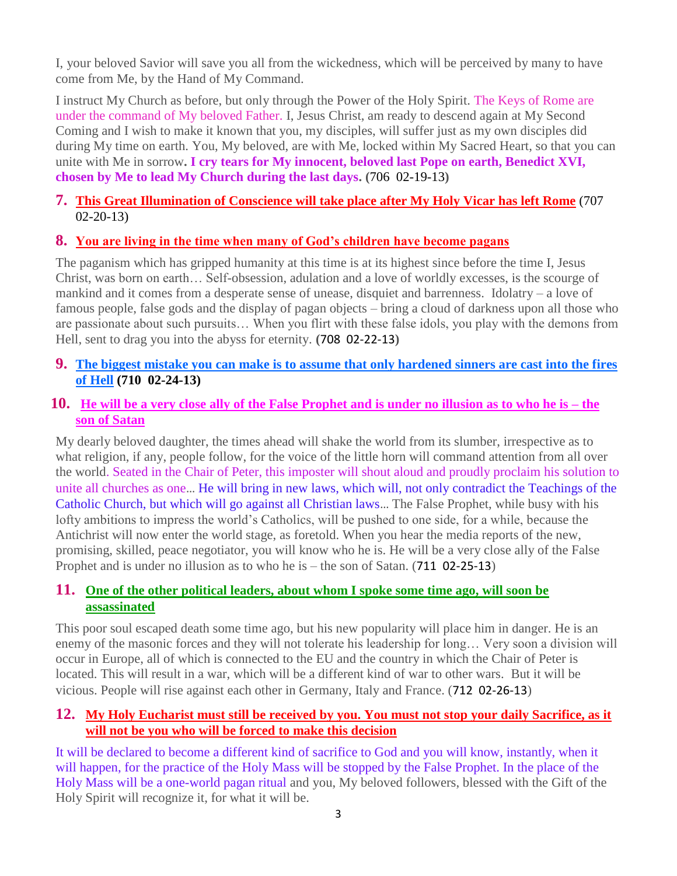I, your beloved Savior will save you all from the wickedness, which will be perceived by many to have come from Me, by the Hand of My Command.

I instruct My Church as before, but only through the Power of the Holy Spirit. The Keys of Rome are under the command of My beloved Father. I, Jesus Christ, am ready to descend again at My Second Coming and I wish to make it known that you, my disciples, will suffer just as my own disciples did during My time on earth. You, My beloved, are with Me, locked within My Sacred Heart, so that you can unite with Me in sorrow**. I cry tears for My innocent, beloved last Pope on earth, Benedict XVI, chosen by Me to lead My Church during the last days. (**706 02-19-13**)**

# **7. This [Great Illumination of Conscience will take place after My Holy Vicar has left Rome](http://www.thewarningsecondcoming.com/this-great-illumination-of-conscience-will-take-place-after-my-holy-vicar-has-left-rome/)** (707 02-20-13)

## **8. [You are living in the time when many of God's children have become pagans](http://www.thewarningsecondcoming.com/you-are-living-in-the-time-when-many-of-gods-children-have-become-pagans/)**

The paganism which has gripped humanity at this time is at its highest since before the time I, Jesus Christ, was born on earth… Self-obsession, adulation and a love of worldly excesses, is the scourge of mankind and it comes from a desperate sense of unease, disquiet and barrenness. Idolatry – a love of famous people, false gods and the display of pagan objects – bring a cloud of darkness upon all those who are passionate about such pursuits… When you flirt with these false idols, you play with the demons from Hell, sent to drag you into the abyss for eternity. **(**708 02-22-13**)**

- **9. [The biggest mistake you can make is to assume that only hardened sinners are cast into the fires](http://www.thewarningsecondcoming.com/the-biggest-mistake-you-can-make-is-to-assume-that-only-hardened-sinners-are-cast-into-the-fires-of-hell/)  [of Hell](http://www.thewarningsecondcoming.com/the-biggest-mistake-you-can-make-is-to-assume-that-only-hardened-sinners-are-cast-into-the-fires-of-hell/) (710 02-24-13)**
- **10. [He will be a very close ally of the False Prophet and is under no illusion as to who he is –](http://www.thewarningsecondcoming.com/he-will-be-a-very-close-ally-of-the-false-prophet-and-is-under-no-illusion-as-to-who-he-is-the-son-of-satan/) the [son of Satan](http://www.thewarningsecondcoming.com/he-will-be-a-very-close-ally-of-the-false-prophet-and-is-under-no-illusion-as-to-who-he-is-the-son-of-satan/)**

My dearly beloved daughter, the times ahead will shake the world from its slumber, irrespective as to what religion, if any, people follow, for the voice of the little horn will command attention from all over the world. Seated in the Chair of Peter, this imposter will shout aloud and proudly proclaim his solution to unite all churches as one… He will bring in new laws, which will, not only contradict the Teachings of the Catholic Church, but which will go against all Christian laws… The False Prophet, while busy with his lofty ambitions to impress the world's Catholics, will be pushed to one side, for a while, because the Antichrist will now enter the world stage, as foretold. When you hear the media reports of the new, promising, skilled, peace negotiator, you will know who he is. He will be a very close ally of the False Prophet and is under no illusion as to who he is – the son of Satan. (711 02-25-13)

## **11. [One of the other political leaders, about whom I spoke some time ago, will soon be](http://www.thewarningsecondcoming.com/one-of-the-other-political-leaders-about-whom-i-spoke-some-time-ago-will-soon-be-assassinated/)  [assassinated](http://www.thewarningsecondcoming.com/one-of-the-other-political-leaders-about-whom-i-spoke-some-time-ago-will-soon-be-assassinated/)**

This poor soul escaped death some time ago, but his new popularity will place him in danger. He is an enemy of the masonic forces and they will not tolerate his leadership for long… Very soon a division will occur in Europe, all of which is connected to the EU and the country in which the Chair of Peter is located. This will result in a war, which will be a different kind of war to other wars. But it will be vicious. People will rise against each other in Germany, Italy and France. (712 02-26-13)

## **12. [My Holy Eucharist must still be received by you. You must not stop your daily Sacrifice, as it](http://www.thewarningsecondcoming.com/my-holy-eucharist-must-still-be-received-by-you-you-must-not-stop-your-daily-sacrifice-as-it-will-not-be-you-who-will-be-forced-to-make-this-decision/)  [will not be you who will be forced to make this decision](http://www.thewarningsecondcoming.com/my-holy-eucharist-must-still-be-received-by-you-you-must-not-stop-your-daily-sacrifice-as-it-will-not-be-you-who-will-be-forced-to-make-this-decision/)**

It will be declared to become a different kind of sacrifice to God and you will know, instantly, when it will happen, for the practice of the Holy Mass will be stopped by the False Prophet. In the place of the Holy Mass will be a one-world pagan ritual and you, My beloved followers, blessed with the Gift of the Holy Spirit will recognize it, for what it will be.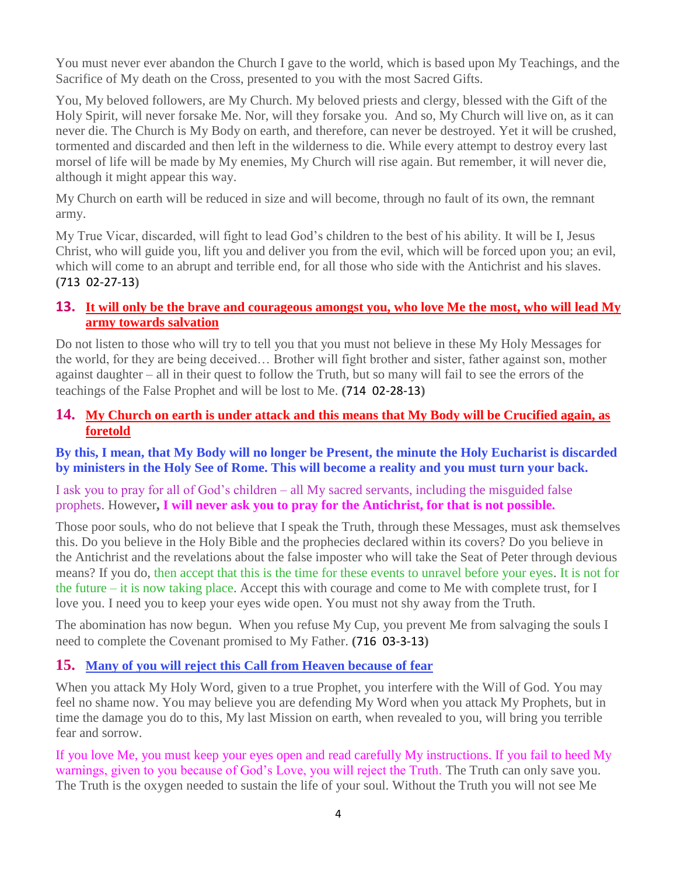You must never ever abandon the Church I gave to the world, which is based upon My Teachings, and the Sacrifice of My death on the Cross, presented to you with the most Sacred Gifts.

You, My beloved followers, are My Church. My beloved priests and clergy, blessed with the Gift of the Holy Spirit, will never forsake Me. Nor, will they forsake you. And so, My Church will live on, as it can never die. The Church is My Body on earth, and therefore, can never be destroyed. Yet it will be crushed, tormented and discarded and then left in the wilderness to die. While every attempt to destroy every last morsel of life will be made by My enemies, My Church will rise again. But remember, it will never die, although it might appear this way.

My Church on earth will be reduced in size and will become, through no fault of its own, the remnant army.

My True Vicar, discarded, will fight to lead God's children to the best of his ability. It will be I, Jesus Christ, who will guide you, lift you and deliver you from the evil, which will be forced upon you; an evil, which will come to an abrupt and terrible end, for all those who side with the Antichrist and his slaves. **(**713 02-27-13**)**

## **13. [It will only be the brave and courageous amongst you, who love Me the most, who will lead My](http://www.thewarningsecondcoming.com/it-will-only-be-the-brave-and-courageous-amongst-you-who-love-me-the-most-who-will-lead-my-army-towards-salvation/)  [army towards salvation](http://www.thewarningsecondcoming.com/it-will-only-be-the-brave-and-courageous-amongst-you-who-love-me-the-most-who-will-lead-my-army-towards-salvation/)**

Do not listen to those who will try to tell you that you must not believe in these My Holy Messages for the world, for they are being deceived… Brother will fight brother and sister, father against son, mother against daughter – all in their quest to follow the Truth, but so many will fail to see the errors of the teachings of the False Prophet and will be lost to Me. **(**714 02-28-13**)**

# **14. [My Church on earth is under attack and this means that My Body will be Crucified again, as](http://www.thewarningsecondcoming.com/my-church-on-earth-is-under-attack-and-this-means-that-my-body-will-be-crucified-again-as-foretold/)  [foretold](http://www.thewarningsecondcoming.com/my-church-on-earth-is-under-attack-and-this-means-that-my-body-will-be-crucified-again-as-foretold/)**

## **By this, I mean, that My Body will no longer be Present, the minute the Holy Eucharist is discarded by ministers in the Holy See of Rome. This will become a reality and you must turn your back.**

I ask you to pray for all of God's children – all My sacred servants, including the misguided false prophets. However**, I will never ask you to pray for the Antichrist, for that is not possible.**

Those poor souls, who do not believe that I speak the Truth, through these Messages, must ask themselves this. Do you believe in the Holy Bible and the prophecies declared within its covers? Do you believe in the Antichrist and the revelations about the false imposter who will take the Seat of Peter through devious means? If you do, then accept that this is the time for these events to unravel before your eyes. It is not for the future – it is now taking place. Accept this with courage and come to Me with complete trust, for I love you. I need you to keep your eyes wide open. You must not shy away from the Truth.

The abomination has now begun. When you refuse My Cup, you prevent Me from salvaging the souls I need to complete the Covenant promised to My Father. **(**716 03-3-13**)**

# **15. [Many of you will reject this Call from Heaven because of](http://www.thewarningsecondcoming.com/many-of-you-will-reject-this-call-from-heaven-because-of-fear/) fear**

When you attack My Holy Word, given to a true Prophet, you interfere with the Will of God. You may feel no shame now. You may believe you are defending My Word when you attack My Prophets, but in time the damage you do to this, My last Mission on earth, when revealed to you, will bring you terrible fear and sorrow.

If you love Me, you must keep your eyes open and read carefully My instructions. If you fail to heed My warnings, given to you because of God's Love, you will reject the Truth. The Truth can only save you. The Truth is the oxygen needed to sustain the life of your soul. Without the Truth you will not see Me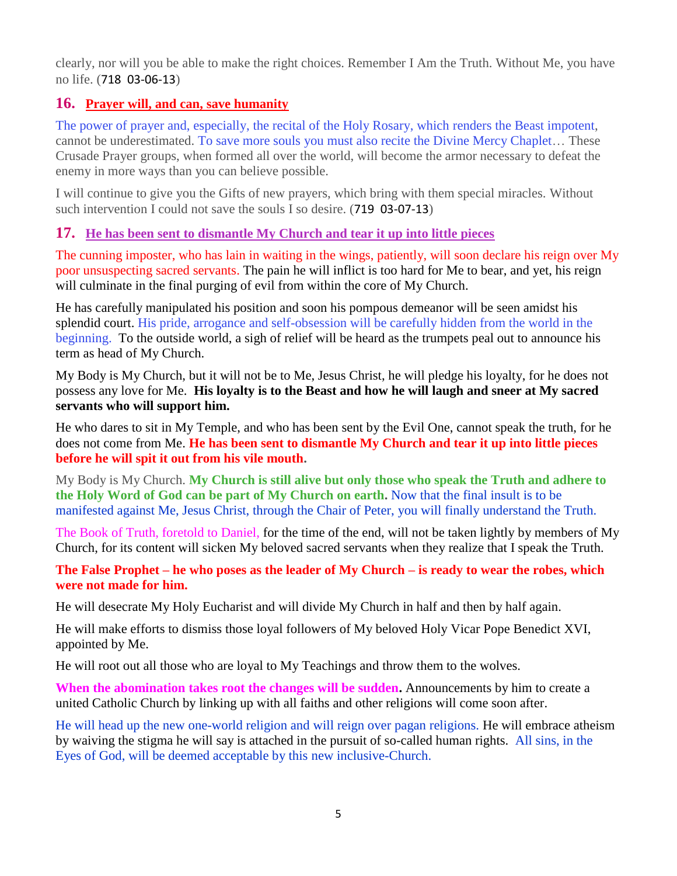clearly, nor will you be able to make the right choices. Remember I Am the Truth. Without Me, you have no life. (718 03-06-13)

# **16. [Prayer will, and can, save humanity](http://www.thewarningsecondcoming.com/prayer-will-and-can-save-humanity/)**

The power of prayer and, especially, the recital of the Holy Rosary, which renders the Beast impotent, cannot be underestimated. To save more souls you must also recite the Divine Mercy Chaplet… These Crusade Prayer groups, when formed all over the world, will become the armor necessary to defeat the enemy in more ways than you can believe possible.

I will continue to give you the Gifts of new prayers, which bring with them special miracles. Without such intervention I could not save the souls I so desire. (719 03-07-13)

# **17. He has been sent to dismantle My [Church and tear it up into little pieces](http://www.thewarningsecondcoming.com/he-has-been-sent-to-dismantle-my-church-and-tear-it-up-into-little-pieces/)**

The cunning imposter, who has lain in waiting in the wings, patiently, will soon declare his reign over My poor unsuspecting sacred servants. The pain he will inflict is too hard for Me to bear, and yet, his reign will culminate in the final purging of evil from within the core of My Church.

He has carefully manipulated his position and soon his pompous demeanor will be seen amidst his splendid court. His pride, arrogance and self-obsession will be carefully hidden from the world in the beginning. To the outside world, a sigh of relief will be heard as the trumpets peal out to announce his term as head of My Church.

My Body is My Church, but it will not be to Me, Jesus Christ, he will pledge his loyalty, for he does not possess any love for Me. **His loyalty is to the Beast and how he will laugh and sneer at My sacred servants who will support him.**

He who dares to sit in My Temple, and who has been sent by the Evil One, cannot speak the truth, for he does not come from Me. **He has been sent to dismantle My Church and tear it up into little pieces before he will spit it out from his vile mouth.**

My Body is My Church. **My Church is still alive but only those who speak the Truth and adhere to the Holy Word of God can be part of My Church on earth.** Now that the final insult is to be manifested against Me, Jesus Christ, through the Chair of Peter, you will finally understand the Truth.

The Book of Truth, foretold to Daniel, for the time of the end, will not be taken lightly by members of My Church, for its content will sicken My beloved sacred servants when they realize that I speak the Truth.

**The False Prophet – he who poses as the leader of My Church – is ready to wear the robes, which were not made for him.**

He will desecrate My Holy Eucharist and will divide My Church in half and then by half again.

He will make efforts to dismiss those loyal followers of My beloved Holy Vicar Pope Benedict XVI, appointed by Me.

He will root out all those who are loyal to My Teachings and throw them to the wolves.

**When the abomination takes root the changes will be sudden.** Announcements by him to create a united Catholic Church by linking up with all faiths and other religions will come soon after.

He will head up the new one-world religion and will reign over pagan religions. He will embrace atheism by waiving the stigma he will say is attached in the pursuit of so-called human rights. All sins, in the Eyes of God, will be deemed acceptable by this new inclusive-Church.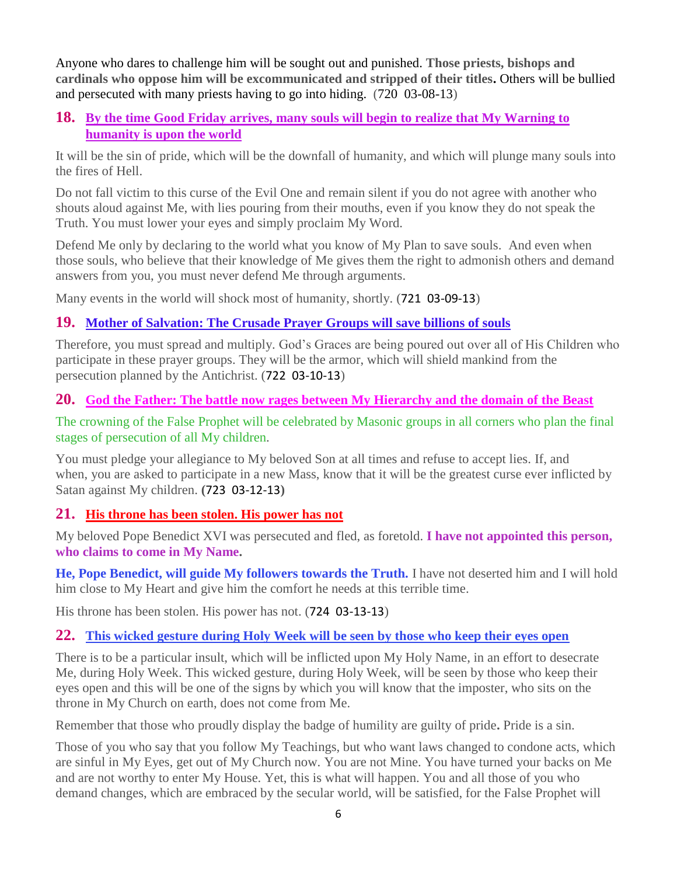Anyone who dares to challenge him will be sought out and punished. **Those priests, bishops and cardinals who oppose him will be excommunicated and stripped of their titles.** Others will be bullied and persecuted with many priests having to go into hiding. (720 03-08-13)

## **18. By the time Good Friday arrives, [many souls will begin to realize that My Warning to](http://www.thewarningsecondcoming.com/by-the-time-good-friday-arrives-many-souls-will-begin-to-realize-that-my-warning-to-humanity-is-upon-the-world/)  [humanity is upon the world](http://www.thewarningsecondcoming.com/by-the-time-good-friday-arrives-many-souls-will-begin-to-realize-that-my-warning-to-humanity-is-upon-the-world/)**

It will be the sin of pride, which will be the downfall of humanity, and which will plunge many souls into the fires of Hell.

Do not fall victim to this curse of the Evil One and remain silent if you do not agree with another who shouts aloud against Me, with lies pouring from their mouths, even if you know they do not speak the Truth. You must lower your eyes and simply proclaim My Word.

Defend Me only by declaring to the world what you know of My Plan to save souls. And even when those souls, who believe that their knowledge of Me gives them the right to admonish others and demand answers from you, you must never defend Me through arguments.

Many events in the world will shock most of humanity, shortly. (721 03-09-13)

# **19. [Mother of Salvation: The Crusade Prayer Groups will save billions of souls](http://www.thewarningsecondcoming.com/mother-of-salvation-the-crusade-prayer-groups-will-save-billions-of-souls/)**

Therefore, you must spread and multiply. God's Graces are being poured out over all of His Children who participate in these prayer groups. They will be the armor, which will shield mankind from the persecution planned by the Antichrist. (722 03-10-13)

# **20. [God the Father: The battle now rages between My Hierarchy and the domain of the Beast](http://www.thewarningsecondcoming.com/god-the-father-the-battle-now-rages-between-my-hierarchy-and-the-domain-of-the-beast/)**

The crowning of the False Prophet will be celebrated by Masonic groups in all corners who plan the final stages of persecution of all My children.

You must pledge your allegiance to My beloved Son at all times and refuse to accept lies. If, and when, you are asked to participate in a new Mass, know that it will be the greatest curse ever inflicted by Satan against My children. **(**723 03-12-13**)**

# **21. [His throne has been stolen. His power has not](http://www.thewarningsecondcoming.com/his-throne-has-been-stolen-his-power-has-not/)**

My beloved Pope Benedict XVI was persecuted and fled, as foretold. **I have not appointed this person, who claims to come in My Name.**

**He, Pope Benedict, will guide My followers towards the Truth.** I have not deserted him and I will hold him close to My Heart and give him the comfort he needs at this terrible time.

His throne has been stolen. His power has not. (724 03-13-13)

# **22. [This wicked gesture during Holy Week will be seen by those who keep their eyes open](http://www.thewarningsecondcoming.com/this-wicked-gesture-during-holy-week-will-be-seen-by-those-who-keep-their-eyes-open/)**

There is to be a particular insult, which will be inflicted upon My Holy Name, in an effort to desecrate Me, during Holy Week. This wicked gesture, during Holy Week, will be seen by those who keep their eyes open and this will be one of the signs by which you will know that the imposter, who sits on the throne in My Church on earth, does not come from Me.

Remember that those who proudly display the badge of humility are guilty of pride**.** Pride is a sin.

Those of you who say that you follow My Teachings, but who want laws changed to condone acts, which are sinful in My Eyes, get out of My Church now. You are not Mine. You have turned your backs on Me and are not worthy to enter My House. Yet, this is what will happen. You and all those of you who demand changes, which are embraced by the secular world, will be satisfied, for the False Prophet will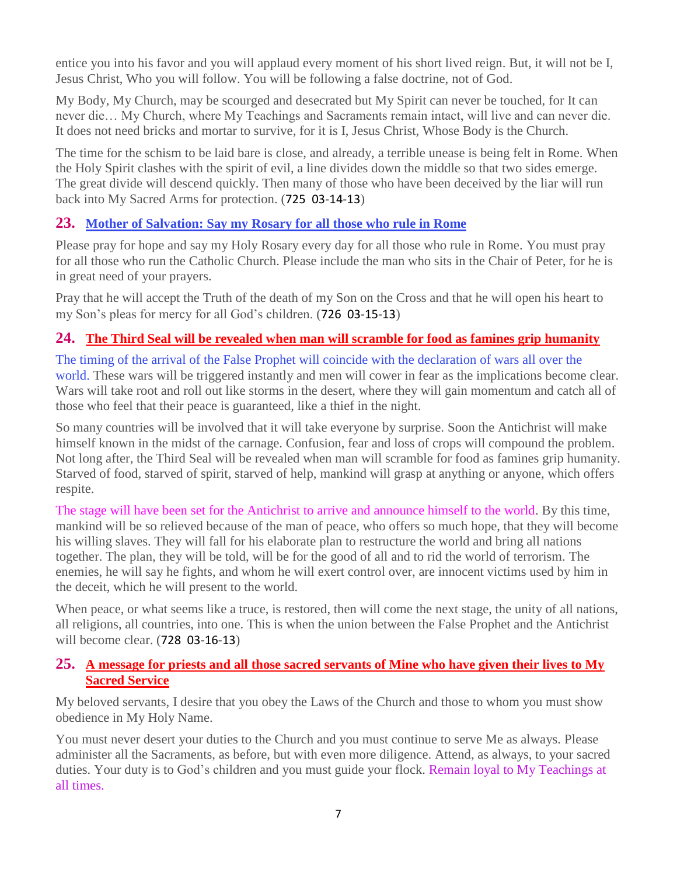entice you into his favor and you will applaud every moment of his short lived reign. But, it will not be I, Jesus Christ, Who you will follow. You will be following a false doctrine, not of God.

My Body, My Church, may be scourged and desecrated but My Spirit can never be touched, for It can never die… My Church, where My Teachings and Sacraments remain intact, will live and can never die. It does not need bricks and mortar to survive, for it is I, Jesus Christ, Whose Body is the Church.

The time for the schism to be laid bare is close, and already, a terrible unease is being felt in Rome. When the Holy Spirit clashes with the spirit of evil, a line divides down the middle so that two sides emerge. The great divide will descend quickly. Then many of those who have been deceived by the liar will run back into My Sacred Arms for protection. (725 03-14-13)

# **23. [Mother of Salvation: Say my Rosary for all those who rule in Rome](http://www.thewarningsecondcoming.com/mother-of-salvation-say-my-rosary-for-all-those-who-rule-in-rome/)**

Please pray for hope and say my Holy Rosary every day for all those who rule in Rome. You must pray for all those who run the Catholic Church. Please include the man who sits in the Chair of Peter, for he is in great need of your prayers.

Pray that he will accept the Truth of the death of my Son on the Cross and that he will open his heart to my Son's pleas for mercy for all God's children. (726 03-15-13)

# **24. [The Third Seal will be revealed when man will scramble for food as famines grip humanity](http://www.thewarningsecondcoming.com/the-third-seal-will-be-revealed-when-man-will-scramble-for-food-as-famines-grip-humanity/)**

The timing of the arrival of the False Prophet will coincide with the declaration of wars all over the world. These wars will be triggered instantly and men will cower in fear as the implications become clear. Wars will take root and roll out like storms in the desert, where they will gain momentum and catch all of those who feel that their peace is guaranteed, like a thief in the night.

So many countries will be involved that it will take everyone by surprise. Soon the Antichrist will make himself known in the midst of the carnage. Confusion, fear and loss of crops will compound the problem. Not long after, the Third Seal will be revealed when man will scramble for food as famines grip humanity. Starved of food, starved of spirit, starved of help, mankind will grasp at anything or anyone, which offers respite.

The stage will have been set for the Antichrist to arrive and announce himself to the world. By this time, mankind will be so relieved because of the man of peace, who offers so much hope, that they will become his willing slaves. They will fall for his elaborate plan to restructure the world and bring all nations together. The plan, they will be told, will be for the good of all and to rid the world of terrorism. The enemies, he will say he fights, and whom he will exert control over, are innocent victims used by him in the deceit, which he will present to the world.

When peace, or what seems like a truce, is restored, then will come the next stage, the unity of all nations, all religions, all countries, into one. This is when the union between the False Prophet and the Antichrist will become clear. (728 03-16-13)

# **25. [A message for priests and all those sacred servants of Mine who have given their lives to My](http://www.thewarningsecondcoming.com/a-message-for-priests-and-all-those-sacred-servants-of-mine-who-have-given-their-lives-to-my-sacred-service/)  [Sacred Service](http://www.thewarningsecondcoming.com/a-message-for-priests-and-all-those-sacred-servants-of-mine-who-have-given-their-lives-to-my-sacred-service/)**

My beloved servants, I desire that you obey the Laws of the Church and those to whom you must show obedience in My Holy Name.

You must never desert your duties to the Church and you must continue to serve Me as always. Please administer all the Sacraments, as before, but with even more diligence. Attend, as always, to your sacred duties. Your duty is to God's children and you must guide your flock. Remain loyal to My Teachings at all times.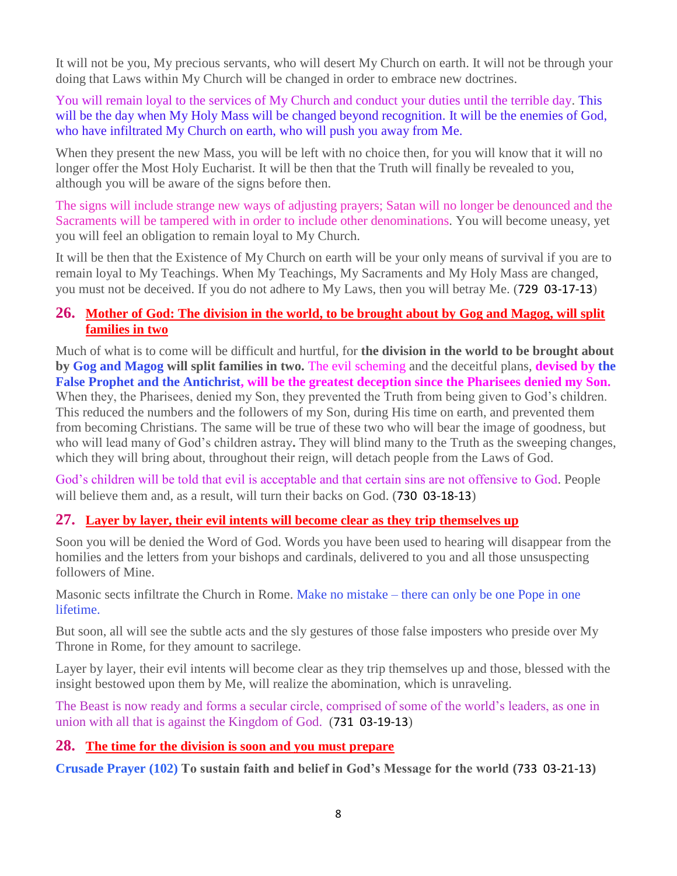It will not be you, My precious servants, who will desert My Church on earth. It will not be through your doing that Laws within My Church will be changed in order to embrace new doctrines.

You will remain loyal to the services of My Church and conduct your duties until the terrible day. This will be the day when My Holy Mass will be changed beyond recognition. It will be the enemies of God, who have infiltrated My Church on earth, who will push you away from Me.

When they present the new Mass, you will be left with no choice then, for you will know that it will no longer offer the Most Holy Eucharist. It will be then that the Truth will finally be revealed to you, although you will be aware of the signs before then.

The signs will include strange new ways of adjusting prayers; Satan will no longer be denounced and the Sacraments will be tampered with in order to include other denominations. You will become uneasy, yet you will feel an obligation to remain loyal to My Church.

It will be then that the Existence of My Church on earth will be your only means of survival if you are to remain loyal to My Teachings. When My Teachings, My Sacraments and My Holy Mass are changed, you must not be deceived. If you do not adhere to My Laws, then you will betray Me. (729 03-17-13)

## **26. [Mother of God: The division in the world, to be brought about by](http://www.thewarningsecondcoming.com/mother-of-god-the-division-in-the-world-to-be-brought-about-by-gog-and-magog-will-split-families-in-two/) Gog and Magog, will split [families in two](http://www.thewarningsecondcoming.com/mother-of-god-the-division-in-the-world-to-be-brought-about-by-gog-and-magog-will-split-families-in-two/)**

Much of what is to come will be difficult and hurtful, for **the division in the world to be brought about by Gog and Magog will split families in two.** The evil scheming and the deceitful plans, **devised by the False Prophet and the Antichrist, will be the greatest deception since the Pharisees denied my Son.** When they, the Pharisees, denied my Son, they prevented the Truth from being given to God's children. This reduced the numbers and the followers of my Son, during His time on earth, and prevented them from becoming Christians. The same will be true of these two who will bear the image of goodness, but who will lead many of God's children astray**.** They will blind many to the Truth as the sweeping changes, which they will bring about, throughout their reign, will detach people from the Laws of God.

God's children will be told that evil is acceptable and that certain sins are not offensive to God. People will believe them and, as a result, will turn their backs on God. (**730 03-18-13**)

# **27. [Layer by layer, their evil intents will become clear as they trip themselves up](http://www.thewarningsecondcoming.com/layer-by-layer-their-evil-intents-will-become-clear-as-they-trip-themselves-up/)**

Soon you will be denied the Word of God. Words you have been used to hearing will disappear from the homilies and the letters from your bishops and cardinals, delivered to you and all those unsuspecting followers of Mine.

Masonic sects infiltrate the Church in Rome. Make no mistake – there can only be one Pope in one lifetime.

But soon, all will see the subtle acts and the sly gestures of those false imposters who preside over My Throne in Rome, for they amount to sacrilege.

Layer by layer, their evil intents will become clear as they trip themselves up and those, blessed with the insight bestowed upon them by Me, will realize the abomination, which is unraveling.

The Beast is now ready and forms a secular circle, comprised of some of the world's leaders, as one in union with all that is against the Kingdom of God. (731 03-19-13)

# **28. [The time for the division is soon and you must prepare](http://www.thewarningsecondcoming.com/the-time-for-the-division-is-soon-and-you-must-prepare/)**

**Crusade Prayer (102) To sustain faith and belief in God's Message for the world (**733 03-21-13**)**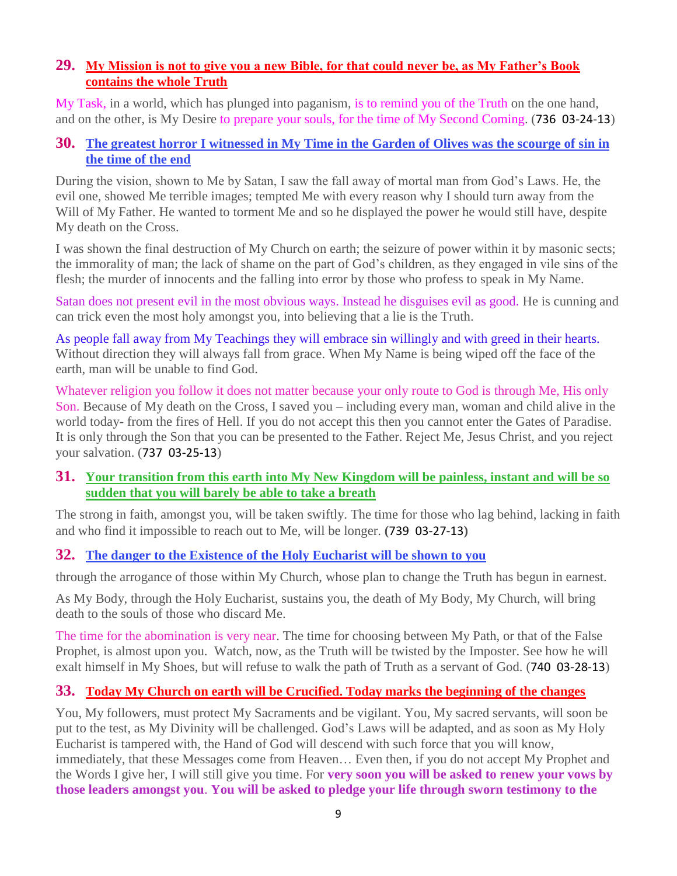# **29. [My Mission is not to give you a new Bible, for that could never be, as My Father's Book](http://www.thewarningsecondcoming.com/my-mission-is-not-to-give-you-a-new-bible-for-that-could-never-be-as-my-fathers-book-contains-the-whole-truth/)  [contains the whole Truth](http://www.thewarningsecondcoming.com/my-mission-is-not-to-give-you-a-new-bible-for-that-could-never-be-as-my-fathers-book-contains-the-whole-truth/)**

My Task, in a world, which has plunged into paganism, is to remind you of the Truth on the one hand, and on the other, is My Desire to prepare your souls, for the time of My Second Coming. (736 03-24-13)

# **30. [The greatest horror I witnessed in My Time in the Garden of Olives was the scourge of sin in](http://www.thewarningsecondcoming.com/the-greatest-horror-i-witnessed-in-my-time-in-the-garden-of-olives-was-the-scourge-of-sin-in-the-time-of-the-end/)  [the time of the end](http://www.thewarningsecondcoming.com/the-greatest-horror-i-witnessed-in-my-time-in-the-garden-of-olives-was-the-scourge-of-sin-in-the-time-of-the-end/)**

During the vision, shown to Me by Satan, I saw the fall away of mortal man from God's Laws. He, the evil one, showed Me terrible images; tempted Me with every reason why I should turn away from the Will of My Father. He wanted to torment Me and so he displayed the power he would still have, despite My death on the Cross.

I was shown the final destruction of My Church on earth; the seizure of power within it by masonic sects; the immorality of man; the lack of shame on the part of God's children, as they engaged in vile sins of the flesh; the murder of innocents and the falling into error by those who profess to speak in My Name.

Satan does not present evil in the most obvious ways. Instead he disguises evil as good. He is cunning and can trick even the most holy amongst you, into believing that a lie is the Truth.

As people fall away from My Teachings they will embrace sin willingly and with greed in their hearts. Without direction they will always fall from grace. When My Name is being wiped off the face of the earth, man will be unable to find God.

Whatever religion you follow it does not matter because your only route to God is through Me. His only Son. Because of My death on the Cross, I saved you – including every man, woman and child alive in the world today- from the fires of Hell. If you do not accept this then you cannot enter the Gates of Paradise. It is only through the Son that you can be presented to the Father. Reject Me, Jesus Christ, and you reject your salvation. (737 03-25-13)

## **31. [Your transition from this earth into My New Kingdom will be painless, instant and will be so](http://www.thewarningsecondcoming.com/your-transition-from-this-earth-into-my-new-kingdom-will-be-painless-instant-and-will-be-so-sudden-that-you-will-barely-be-able-to-take-a-breath/)  [sudden that you will barely be able to take a breath](http://www.thewarningsecondcoming.com/your-transition-from-this-earth-into-my-new-kingdom-will-be-painless-instant-and-will-be-so-sudden-that-you-will-barely-be-able-to-take-a-breath/)**

The strong in faith, amongst you, will be taken swiftly. The time for those who lag behind, lacking in faith and who find it impossible to reach out to Me, will be longer. **(**739 03-27-13**)**

# **32. [The danger to the Existence of the Holy Eucharist will be shown to you](http://www.thewarningsecondcoming.com/the-danger-to-the-existence-of-the-holy-eucharist-will-be-shown-to-you/)**

through the arrogance of those within My Church, whose plan to change the Truth has begun in earnest.

As My Body, through the Holy Eucharist, sustains you, the death of My Body, My Church, will bring death to the souls of those who discard Me.

The time for the abomination is very near. The time for choosing between My Path, or that of the False Prophet, is almost upon you. Watch, now, as the Truth will be twisted by the Imposter. See how he will exalt himself in My Shoes, but will refuse to walk the path of Truth as a servant of God. (740 03-28-13)

# **33. [Today My Church on earth will be Crucified. Today marks the beginning of the changes](http://www.thewarningsecondcoming.com/today-my-church-on-earth-will-be-crucified-today-marks-the-beginning-of-the-changes/)**

You, My followers, must protect My Sacraments and be vigilant. You, My sacred servants, will soon be put to the test, as My Divinity will be challenged. God's Laws will be adapted, and as soon as My Holy Eucharist is tampered with, the Hand of God will descend with such force that you will know, immediately, that these Messages come from Heaven… Even then, if you do not accept My Prophet and the Words I give her, I will still give you time. For **very soon you will be asked to renew your vows by those leaders amongst you**. **You will be asked to pledge your life through sworn testimony to the**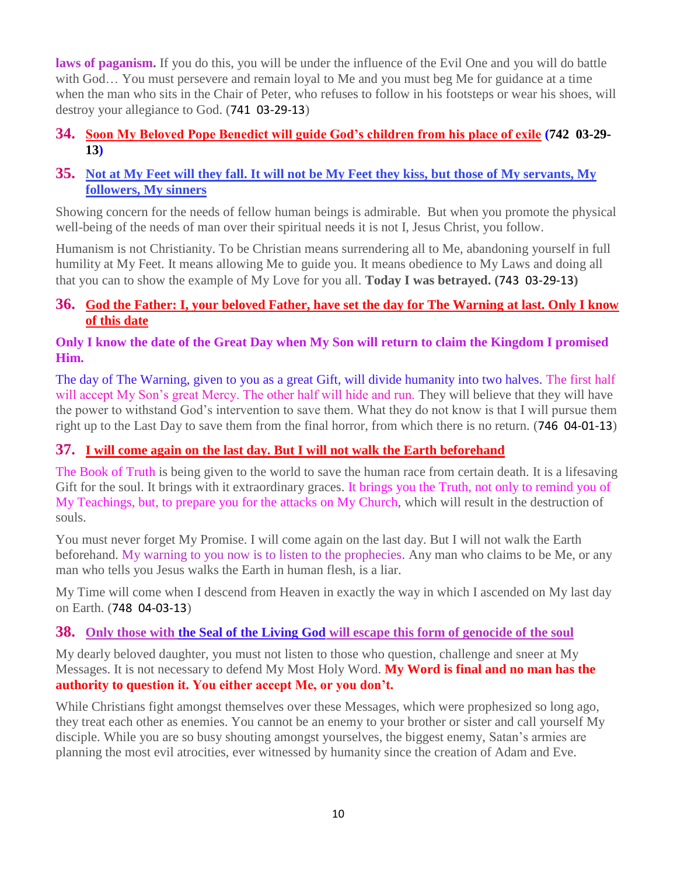**laws of paganism.** If you do this, you will be under the influence of the Evil One and you will do battle with God… You must persevere and remain loyal to Me and you must beg Me for guidance at a time when the man who sits in the Chair of Peter, who refuses to follow in his footsteps or wear his shoes, will destroy your allegiance to God. (741 03-29-13)

## **34. [Soon My Beloved Pope Benedict will guide God's children from his place of exile](http://www.thewarningsecondcoming.com/soon-my-beloved-pope-benedict-will-guide-gods-children-from-his-place-of-exile/) (742 03-29- 13)**

# **35. [Not at My Feet will they fall. It will not be My Feet they kiss, but those of My servants, My](http://www.thewarningsecondcoming.com/not-at-my-feet-will-they-fall-it-will-not-be-my-feet-they-kiss-but-those-of-my-servants-my-followers-my-sinners/)  [followers, My sinners](http://www.thewarningsecondcoming.com/not-at-my-feet-will-they-fall-it-will-not-be-my-feet-they-kiss-but-those-of-my-servants-my-followers-my-sinners/)**

Showing concern for the needs of fellow human beings is admirable. But when you promote the physical well-being of the needs of man over their spiritual needs it is not I, Jesus Christ, you follow.

Humanism is not Christianity. To be Christian means surrendering all to Me, abandoning yourself in full humility at My Feet. It means allowing Me to guide you. It means obedience to My Laws and doing all that you can to show the example of My Love for you all. **Today I was betrayed. (**743 03-29-13**)**

# **36. [God the Father: I, your beloved Father, have set the day for The Warning at last. Only I know](http://www.thewarningsecondcoming.com/god-the-father-i-your-beloved-father-have-set-the-day-for-the-warning-at-last-only-i-know-of-this-date/)  [of this date](http://www.thewarningsecondcoming.com/god-the-father-i-your-beloved-father-have-set-the-day-for-the-warning-at-last-only-i-know-of-this-date/)**

## **Only I know the date of the Great Day when My Son will return to claim the Kingdom I promised Him.**

The day of The Warning, given to you as a great Gift, will divide humanity into two halves. The first half will accept My Son's great Mercy. The other half will hide and run. They will believe that they will have the power to withstand God's intervention to save them. What they do not know is that I will pursue them right up to the Last Day to save them from the final horror, from which there is no return. (746 04-01-13)

# **37. [I will come again on the last day. But I will not walk the Earth beforehand](http://www.thewarningsecondcoming.com/i-will-come-again-on-the-last-day-but-i-will-not-walk-the-earth-beforehand/)**

The Book of Truth is being given to the world to save the human race from certain death. It is a lifesaving Gift for the soul. It brings with it extraordinary graces. It brings you the Truth, not only to remind you of My Teachings, but, to prepare you for the attacks on My Church, which will result in the destruction of souls.

You must never forget My Promise. I will come again on the last day. But I will not walk the Earth beforehand. My warning to you now is to listen to the prophecies. Any man who claims to be Me, or any man who tells you Jesus walks the Earth in human flesh, is a liar.

My Time will come when I descend from Heaven in exactly the way in which I ascended on My last day on Earth. (748 04-03-13)

# **38. Only those with the Seal of the Living God [will escape this form of genocide of the soul](http://www.thewarningsecondcoming.com/only-those-with-the-seal-of-the-living-god-will-escape-this-form-of-genocide-of-the-soul/)**

My dearly beloved daughter, you must not listen to those who question, challenge and sneer at My Messages. It is not necessary to defend My Most Holy Word. **My Word is final and no man has the authority to question it. You either accept Me, or you don't.**

While Christians fight amongst themselves over these Messages, which were prophesized so long ago, they treat each other as enemies. You cannot be an enemy to your brother or sister and call yourself My disciple. While you are so busy shouting amongst yourselves, the biggest enemy, Satan's armies are planning the most evil atrocities, ever witnessed by humanity since the creation of Adam and Eve.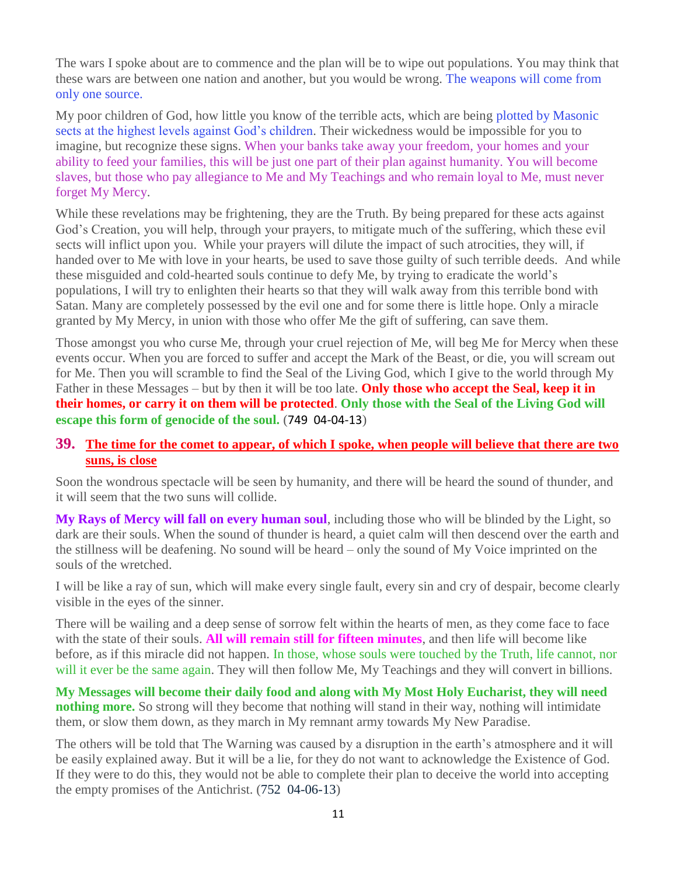The wars I spoke about are to commence and the plan will be to wipe out populations. You may think that these wars are between one nation and another, but you would be wrong. The weapons will come from only one source.

My poor children of God, how little you know of the terrible acts, which are being plotted by Masonic sects at the highest levels against God's children. Their wickedness would be impossible for you to imagine, but recognize these signs. When your banks take away your freedom, your homes and your ability to feed your families, this will be just one part of their plan against humanity. You will become slaves, but those who pay allegiance to Me and My Teachings and who remain loyal to Me, must never forget My Mercy.

While these revelations may be frightening, they are the Truth. By being prepared for these acts against God's Creation, you will help, through your prayers, to mitigate much of the suffering, which these evil sects will inflict upon you. While your prayers will dilute the impact of such atrocities, they will, if handed over to Me with love in your hearts, be used to save those guilty of such terrible deeds. And while these misguided and cold-hearted souls continue to defy Me, by trying to eradicate the world's populations, I will try to enlighten their hearts so that they will walk away from this terrible bond with Satan. Many are completely possessed by the evil one and for some there is little hope. Only a miracle granted by My Mercy, in union with those who offer Me the gift of suffering, can save them.

Those amongst you who curse Me, through your cruel rejection of Me, will beg Me for Mercy when these events occur. When you are forced to suffer and accept the Mark of the Beast, or die, you will scream out for Me. Then you will scramble to find the Seal of the Living God, which I give to the world through My Father in these Messages – but by then it will be too late. **Only those who accept the Seal, keep it in their homes, or carry it on them will be protected**. **Only those with the Seal of the Living God will escape this form of genocide of the soul.** (749 04-04-13)

## **39. [The time for the comet to appear, of which I spoke, when people will believe that there are two](http://www.thewarningsecondcoming.com/the-time-for-the-comet-to-appear-of-which-i-spoke-when-people-will-believe-that-there-are-two-suns-is-close/)  [suns, is close](http://www.thewarningsecondcoming.com/the-time-for-the-comet-to-appear-of-which-i-spoke-when-people-will-believe-that-there-are-two-suns-is-close/)**

Soon the wondrous spectacle will be seen by humanity, and there will be heard the sound of thunder, and it will seem that the two suns will collide.

**My Rays of Mercy will fall on every human soul**, including those who will be blinded by the Light, so dark are their souls. When the sound of thunder is heard, a quiet calm will then descend over the earth and the stillness will be deafening. No sound will be heard – only the sound of My Voice imprinted on the souls of the wretched.

I will be like a ray of sun, which will make every single fault, every sin and cry of despair, become clearly visible in the eyes of the sinner.

There will be wailing and a deep sense of sorrow felt within the hearts of men, as they come face to face with the state of their souls. **All will remain still for fifteen minutes**, and then life will become like before, as if this miracle did not happen. In those, whose souls were touched by the Truth, life cannot, nor will it ever be the same again. They will then follow Me, My Teachings and they will convert in billions.

**My Messages will become their daily food and along with My Most Holy Eucharist, they will need nothing more.** So strong will they become that nothing will stand in their way, nothing will intimidate them, or slow them down, as they march in My remnant army towards My New Paradise.

The others will be told that The Warning was caused by a disruption in the earth's atmosphere and it will be easily explained away. But it will be a lie, for they do not want to acknowledge the Existence of God. If they were to do this, they would not be able to complete their plan to deceive the world into accepting the empty promises of the Antichrist. (752 04-06-13)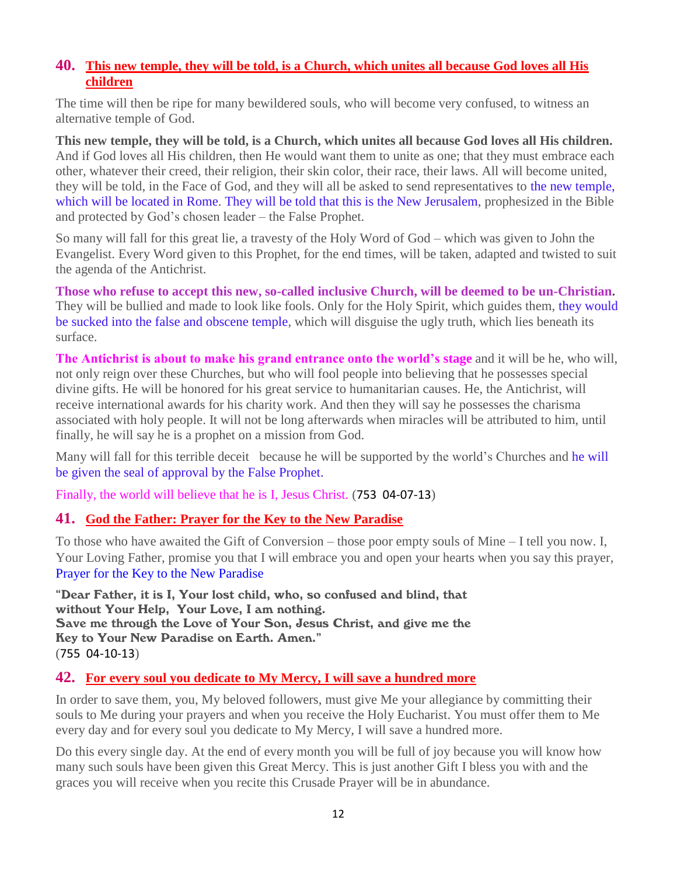# **40. [This new temple, they will be told, is a Church, which unites all because God loves all His](http://www.thewarningsecondcoming.com/this-new-temple-they-will-be-told-is-a-church-which-unites-all-because-god-loves-all-his-children/)  [children](http://www.thewarningsecondcoming.com/this-new-temple-they-will-be-told-is-a-church-which-unites-all-because-god-loves-all-his-children/)**

The time will then be ripe for many bewildered souls, who will become very confused, to witness an alternative temple of God.

**This new temple, they will be told, is a Church, which unites all because God loves all His children.**  And if God loves all His children, then He would want them to unite as one; that they must embrace each other, whatever their creed, their religion, their skin color, their race, their laws. All will become united, they will be told, in the Face of God, and they will all be asked to send representatives to the new temple, which will be located in Rome. They will be told that this is the New Jerusalem, prophesized in the Bible and protected by God's chosen leader – the False Prophet.

So many will fall for this great lie, a travesty of the Holy Word of God – which was given to John the Evangelist. Every Word given to this Prophet, for the end times, will be taken, adapted and twisted to suit the agenda of the Antichrist.

**Those who refuse to accept this new, so-called inclusive Church, will be deemed to be un-Christian.**  They will be bullied and made to look like fools. Only for the Holy Spirit, which guides them, they would be sucked into the false and obscene temple, which will disguise the ugly truth, which lies beneath its surface.

**The Antichrist is about to make his grand entrance onto the world's stage** and it will be he, who will, not only reign over these Churches, but who will fool people into believing that he possesses special divine gifts. He will be honored for his great service to humanitarian causes. He, the Antichrist, will receive international awards for his charity work. And then they will say he possesses the charisma associated with holy people. It will not be long afterwards when miracles will be attributed to him, until finally, he will say he is a prophet on a mission from God.

Many will fall for this terrible deceit because he will be supported by the world's Churches and he will be given the seal of approval by the False Prophet.

Finally, the world will believe that he is I, Jesus Christ. (753 04-07-13)

## **41. [God the Father: Prayer for the Key to the New Paradise](http://www.thewarningsecondcoming.com/god-the-father-prayer-for-the-key-to-the-new-paradise/)**

To those who have awaited the Gift of Conversion – those poor empty souls of Mine – I tell you now. I, Your Loving Father, promise you that I will embrace you and open your hearts when you say this prayer, [Prayer for the Key to the New Paradise](http://www.thewarningsecondcoming.com/god-the-father-prayer-for-the-key-to-the-new-paradise/)

"Dear Father, it is I, Your lost child, who, so confused and blind, that without Your Help, Your Love, I am nothing. Save me through the Love of Your Son, Jesus Christ, and give me the Key to Your New Paradise on Earth. Amen." (755 04-10-13)

# **42. [For every soul you dedicate to My Mercy, I will save a hundred more](http://www.thewarningsecondcoming.com/for-every-soul-you-dedicate-to-my-mercy-i-will-save-a-hundred-more-3/)**

In order to save them, you, My beloved followers, must give Me your allegiance by committing their souls to Me during your prayers and when you receive the Holy Eucharist. You must offer them to Me every day and for every soul you dedicate to My Mercy, I will save a hundred more.

Do this every single day. At the end of every month you will be full of joy because you will know how many such souls have been given this Great Mercy. This is just another Gift I bless you with and the graces you will receive when you recite this Crusade Prayer will be in abundance.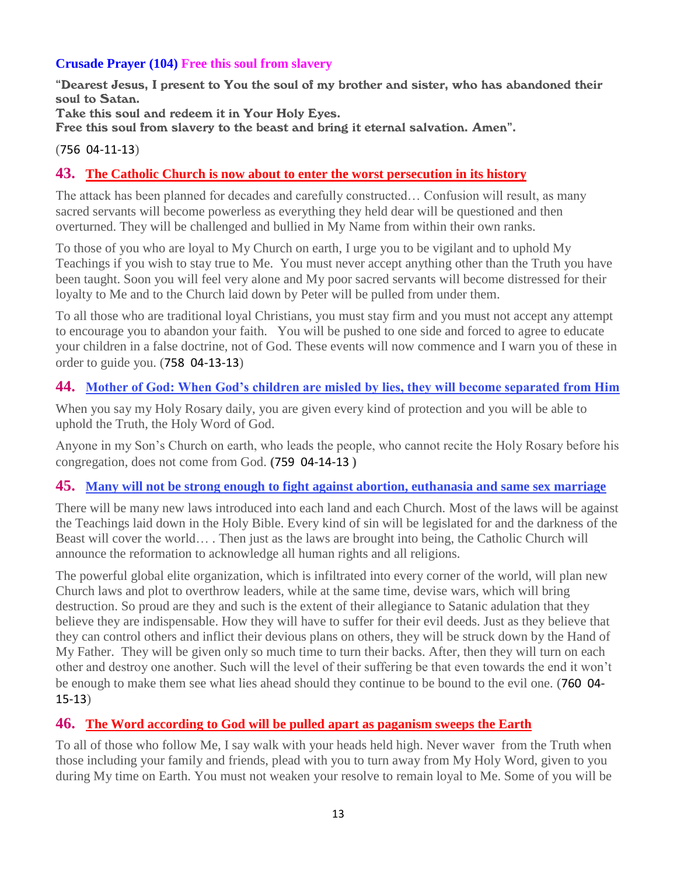## **Crusade Prayer (104) Free this soul from slavery**

"Dearest Jesus, I present to You the soul of my brother and sister, who has abandoned their soul to Satan.

Take this soul and redeem it in Your Holy Eyes.

Free this soul from slavery to the beast and bring it eternal salvation. Amen".

#### (756 04-11-13)

## **43. The Catholic Church is [now about to enter the worst persecution in its history](http://www.thewarningsecondcoming.com/the-catholic-church-is-now-about-to-enter-the-worst-persecution-in-its-history/)**

The attack has been planned for decades and carefully constructed… Confusion will result, as many sacred servants will become powerless as everything they held dear will be questioned and then overturned. They will be challenged and bullied in My Name from within their own ranks.

To those of you who are loyal to My Church on earth, I urge you to be vigilant and to uphold My Teachings if you wish to stay true to Me. You must never accept anything other than the Truth you have been taught. Soon you will feel very alone and My poor sacred servants will become distressed for their loyalty to Me and to the Church laid down by Peter will be pulled from under them.

To all those who are traditional loyal Christians, you must stay firm and you must not accept any attempt to encourage you to abandon your faith. You will be pushed to one side and forced to agree to educate your children in a false doctrine, not of God. These events will now commence and I warn you of these in order to guide you. (758 04-13-13)

## **44. [Mother of God: When God's children are misled by lies, they will become separated from Him](http://www.thewarningsecondcoming.com/mother-of-god-when-gods-children-are-misled-by-lies-they-will-become-separated-from-him/)**

When you say my Holy Rosary daily, you are given every kind of protection and you will be able to uphold the Truth, the Holy Word of God.

Anyone in my Son's Church on earth, who leads the people, who cannot recite the Holy Rosary before his congregation, does not come from God. **(**759 04-14-13 **)**

## **45. [Many will not be strong enough to fight against abortion, euthanasia and same sex marriage](http://www.thewarningsecondcoming.com/many-will-not-be-strong-enough-to-fight-against-abortion-euthanasia-and-same-sex-marriage/)**

There will be many new laws introduced into each land and each Church. Most of the laws will be against the Teachings laid down in the Holy Bible. Every kind of sin will be legislated for and the darkness of the Beast will cover the world… . Then just as the laws are brought into being, the Catholic Church will announce the reformation to acknowledge all human rights and all religions.

The powerful global elite organization, which is infiltrated into every corner of the world, will plan new Church laws and plot to overthrow leaders, while at the same time, devise wars, which will bring destruction. So proud are they and such is the extent of their allegiance to Satanic adulation that they believe they are indispensable. How they will have to suffer for their evil deeds. Just as they believe that they can control others and inflict their devious plans on others, they will be struck down by the Hand of My Father. They will be given only so much time to turn their backs. After, then they will turn on each other and destroy one another. Such will the level of their suffering be that even towards the end it won't be enough to make them see what lies ahead should they continue to be bound to the evil one. (760 04- 15-13)

# **46. [The Word according to God will be pulled](http://www.thewarningsecondcoming.com/the-word-according-to-god-will-be-pulled-apart-as-paganism-sweeps-the-earth/) apart as paganism sweeps the Earth**

To all of those who follow Me, I say walk with your heads held high. Never waver from the Truth when those including your family and friends, plead with you to turn away from My Holy Word, given to you during My time on Earth. You must not weaken your resolve to remain loyal to Me. Some of you will be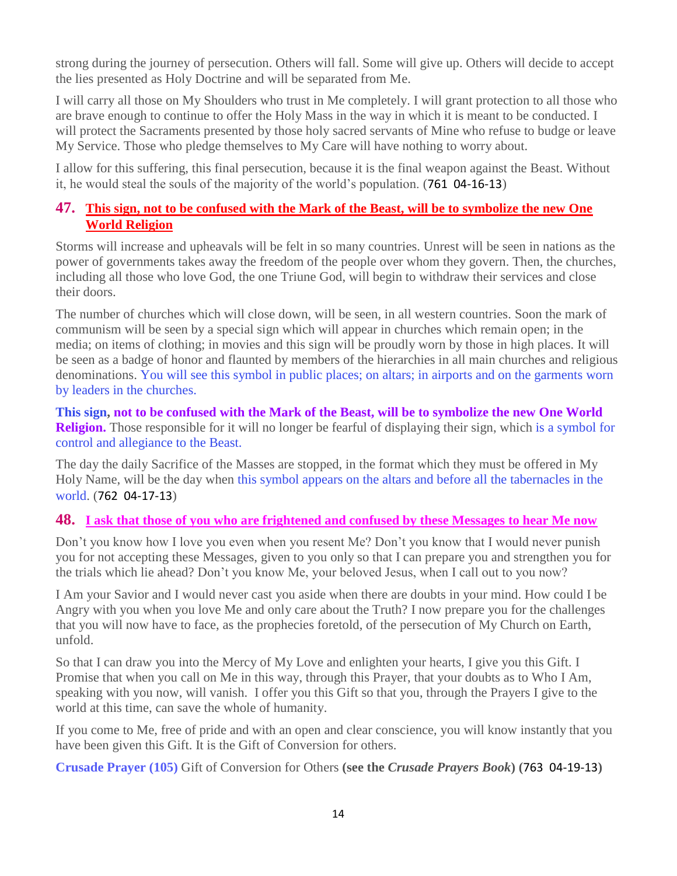strong during the journey of persecution. Others will fall. Some will give up. Others will decide to accept the lies presented as Holy Doctrine and will be separated from Me.

I will carry all those on My Shoulders who trust in Me completely. I will grant protection to all those who are brave enough to continue to offer the Holy Mass in the way in which it is meant to be conducted. I will protect the Sacraments presented by those holy sacred servants of Mine who refuse to budge or leave My Service. Those who pledge themselves to My Care will have nothing to worry about.

I allow for this suffering, this final persecution, because it is the final weapon against the Beast. Without it, he would steal the souls of the majority of the world's population. (761 04-16-13)

# **47. [This sign, not to be confused with the Mark of the Beast, will be to symbolize the new One](http://www.thewarningsecondcoming.com/this-sign-not-to-be-confused-with-the-mark-of-the-beast-will-be-to-symbolise-the-new-one-world-religion/)  [World Religion](http://www.thewarningsecondcoming.com/this-sign-not-to-be-confused-with-the-mark-of-the-beast-will-be-to-symbolise-the-new-one-world-religion/)**

Storms will increase and upheavals will be felt in so many countries. Unrest will be seen in nations as the power of governments takes away the freedom of the people over whom they govern. Then, the churches, including all those who love God, the one Triune God, will begin to withdraw their services and close their doors.

The number of churches which will close down, will be seen, in all western countries. Soon the mark of communism will be seen by a special sign which will appear in churches which remain open; in the media; on items of clothing; in movies and this sign will be proudly worn by those in high places. It will be seen as a badge of honor and flaunted by members of the hierarchies in all main churches and religious denominations. You will see this symbol in public places; on altars; in airports and on the garments worn by leaders in the churches.

**This sign, not to be confused with the Mark of the Beast, will be to symbolize the new One World Religion.** Those responsible for it will no longer be fearful of displaying their sign, which is a symbol for control and allegiance to the Beast.

The day the daily Sacrifice of the Masses are stopped, in the format which they must be offered in My Holy Name, will be the day when this symbol appears on the altars and before all the tabernacles in the world. (762 04-17-13)

# **48. [I ask that those of you who are frightened and confused by these Messages to hear Me now](http://www.thewarningsecondcoming.com/i-ask-that-those-of-you-who-are-frightened-and-confused-by-these-messages-to-hear-me-now/)**

Don't you know how I love you even when you resent Me? Don't you know that I would never punish you for not accepting these Messages, given to you only so that I can prepare you and strengthen you for the trials which lie ahead? Don't you know Me, your beloved Jesus, when I call out to you now?

I Am your Savior and I would never cast you aside when there are doubts in your mind. How could I be Angry with you when you love Me and only care about the Truth? I now prepare you for the challenges that you will now have to face, as the prophecies foretold, of the persecution of My Church on Earth, unfold.

So that I can draw you into the Mercy of My Love and enlighten your hearts, I give you this Gift. I Promise that when you call on Me in this way, through this Prayer, that your doubts as to Who I Am, speaking with you now, will vanish. I offer you this Gift so that you, through the Prayers I give to the world at this time, can save the whole of humanity.

If you come to Me, free of pride and with an open and clear conscience, you will know instantly that you have been given this Gift. It is the Gift of Conversion for others.

**Crusade Prayer (105)** Gift of Conversion for Others **(see the** *Crusade Prayers Book***) (**763 04-19-13**)**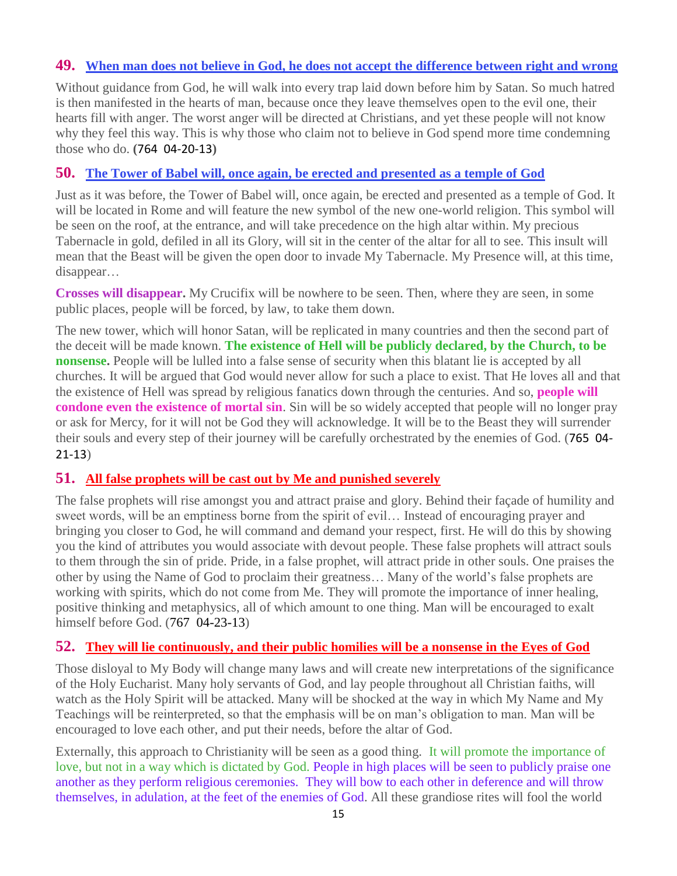## **49. [When man does not believe in God, he does not accept the difference between right and wrong](http://www.thewarningsecondcoming.com/when-man-does-not-believe-in-god-he-does-not-accept-the-difference-between-right-and-wrong/)**

Without guidance from God, he will walk into every trap laid down before him by Satan. So much hatred is then manifested in the hearts of man, because once they leave themselves open to the evil one, their hearts fill with anger. The worst anger will be directed at Christians, and yet these people will not know why they feel this way. This is why those who claim not to believe in God spend more time condemning those who do. **(**764 04-20-13**)**

## **50. [The Tower of Babel will, once again, be erected and presented as a temple of God](http://www.thewarningsecondcoming.com/the-tower-of-babel-will-once-again-be-erected-and-presented-as-a-temple-of-god/)**

Just as it was before, the Tower of Babel will, once again, be erected and presented as a temple of God. It will be located in Rome and will feature the new symbol of the new one-world religion. This symbol will be seen on the roof, at the entrance, and will take precedence on the high altar within. My precious Tabernacle in gold, defiled in all its Glory, will sit in the center of the altar for all to see. This insult will mean that the Beast will be given the open door to invade My Tabernacle. My Presence will, at this time, disappear…

**Crosses will disappear.** My Crucifix will be nowhere to be seen. Then, where they are seen, in some public places, people will be forced, by law, to take them down.

The new tower, which will honor Satan, will be replicated in many countries and then the second part of the deceit will be made known. **The existence of Hell will be publicly declared, by the Church, to be nonsense.** People will be lulled into a false sense of security when this blatant lie is accepted by all churches. It will be argued that God would never allow for such a place to exist. That He loves all and that the existence of Hell was spread by religious fanatics down through the centuries. And so, **people will condone even the existence of mortal sin**. Sin will be so widely accepted that people will no longer pray or ask for Mercy, for it will not be God they will acknowledge. It will be to the Beast they will surrender their souls and every step of their journey will be carefully orchestrated by the enemies of God. (765 04- 21-13)

# **51. [All false prophets will be cast out by Me and punished severely](http://www.thewarningsecondcoming.com/all-false-prophets-will-be-cast-out-by-me-and-punished-severely/)**

The false prophets will rise amongst you and attract praise and glory. Behind their façade of humility and sweet words, will be an emptiness borne from the spirit of evil… Instead of encouraging prayer and bringing you closer to God, he will command and demand your respect, first. He will do this by showing you the kind of attributes you would associate with devout people. These false prophets will attract souls to them through the sin of pride. Pride, in a false prophet, will attract pride in other souls. One praises the other by using the Name of God to proclaim their greatness… Many of the world's false prophets are working with spirits, which do not come from Me. They will promote the importance of inner healing, positive thinking and metaphysics, all of which amount to one thing. Man will be encouraged to exalt himself before God. (767 04-23-13)

## **52. [They will lie continuously, and their public homilies will be a nonsense in the Eyes of God](http://www.thewarningsecondcoming.com/they-will-lie-continuously-and-their-public-homilies-will-be-a-nonsense-in-the-eyes-of-god/)**

Those disloyal to My Body will change many laws and will create new interpretations of the significance of the Holy Eucharist. Many holy servants of God, and lay people throughout all Christian faiths, will watch as the Holy Spirit will be attacked. Many will be shocked at the way in which My Name and My Teachings will be reinterpreted, so that the emphasis will be on man's obligation to man. Man will be encouraged to love each other, and put their needs, before the altar of God.

Externally, this approach to Christianity will be seen as a good thing. It will promote the importance of love, but not in a way which is dictated by God. People in high places will be seen to publicly praise one another as they perform religious ceremonies. They will bow to each other in deference and will throw themselves, in adulation, at the feet of the enemies of God. All these grandiose rites will fool the world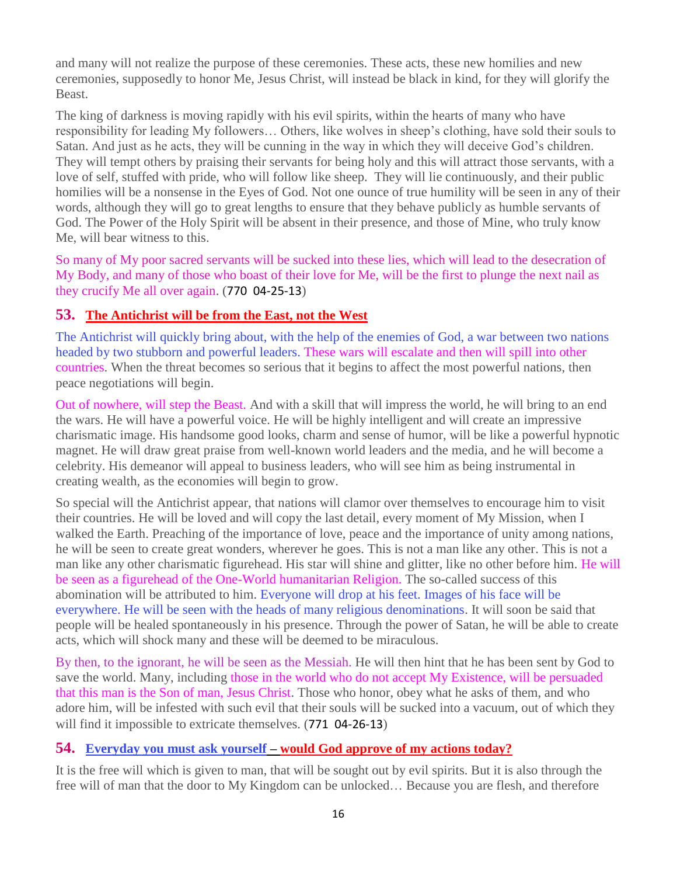and many will not realize the purpose of these ceremonies. These acts, these new homilies and new ceremonies, supposedly to honor Me, Jesus Christ, will instead be black in kind, for they will glorify the Beast.

The king of darkness is moving rapidly with his evil spirits, within the hearts of many who have responsibility for leading My followers… Others, like wolves in sheep's clothing, have sold their souls to Satan. And just as he acts, they will be cunning in the way in which they will deceive God's children. They will tempt others by praising their servants for being holy and this will attract those servants, with a love of self, stuffed with pride, who will follow like sheep. They will lie continuously, and their public homilies will be a nonsense in the Eyes of God. Not one ounce of true humility will be seen in any of their words, although they will go to great lengths to ensure that they behave publicly as humble servants of God. The Power of the Holy Spirit will be absent in their presence, and those of Mine, who truly know Me, will bear witness to this.

So many of My poor sacred servants will be sucked into these lies, which will lead to the desecration of My Body, and many of those who boast of their love for Me, will be the first to plunge the next nail as they crucify Me all over again. (770 04-25-13)

# **53. [The Antichrist will be from the East, not the West](http://www.thewarningsecondcoming.com/the-antichrist-will-be-from-the-east-not-the-west/)**

The Antichrist will quickly bring about, with the help of the enemies of God, a war between two nations headed by two stubborn and powerful leaders. These wars will escalate and then will spill into other countries. When the threat becomes so serious that it begins to affect the most powerful nations, then peace negotiations will begin.

Out of nowhere, will step the Beast. And with a skill that will impress the world, he will bring to an end the wars. He will have a powerful voice. He will be highly intelligent and will create an impressive charismatic image. His handsome good looks, charm and sense of humor, will be like a powerful hypnotic magnet. He will draw great praise from well-known world leaders and the media, and he will become a celebrity. His demeanor will appeal to business leaders, who will see him as being instrumental in creating wealth, as the economies will begin to grow.

So special will the Antichrist appear, that nations will clamor over themselves to encourage him to visit their countries. He will be loved and will copy the last detail, every moment of My Mission, when I walked the Earth. Preaching of the importance of love, peace and the importance of unity among nations, he will be seen to create great wonders, wherever he goes. This is not a man like any other. This is not a man like any other charismatic figurehead. His star will shine and glitter, like no other before him. He will be seen as a figurehead of the One-World humanitarian Religion. The so-called success of this abomination will be attributed to him. Everyone will drop at his feet. Images of his face will be everywhere. He will be seen with the heads of many religious denominations. It will soon be said that people will be healed spontaneously in his presence. Through the power of Satan, he will be able to create acts, which will shock many and these will be deemed to be miraculous.

By then, to the ignorant, he will be seen as the Messiah. He will then hint that he has been sent by God to save the world. Many, including those in the world who do not accept My Existence, will be persuaded that this man is the Son of man, Jesus Christ. Those who honor, obey what he asks of them, and who adore him, will be infested with such evil that their souls will be sucked into a vacuum, out of which they will find it impossible to extricate themselves. (771 04-26-13)

# **54. Everyday you must ask yourself – [would God approve of my actions today?](http://www.thewarningsecondcoming.com/every-day-you-must-ask-yourself-would-god-approve-of-my-actions-today/)**

It is the free will which is given to man, that will be sought out by evil spirits. But it is also through the free will of man that the door to My Kingdom can be unlocked… Because you are flesh, and therefore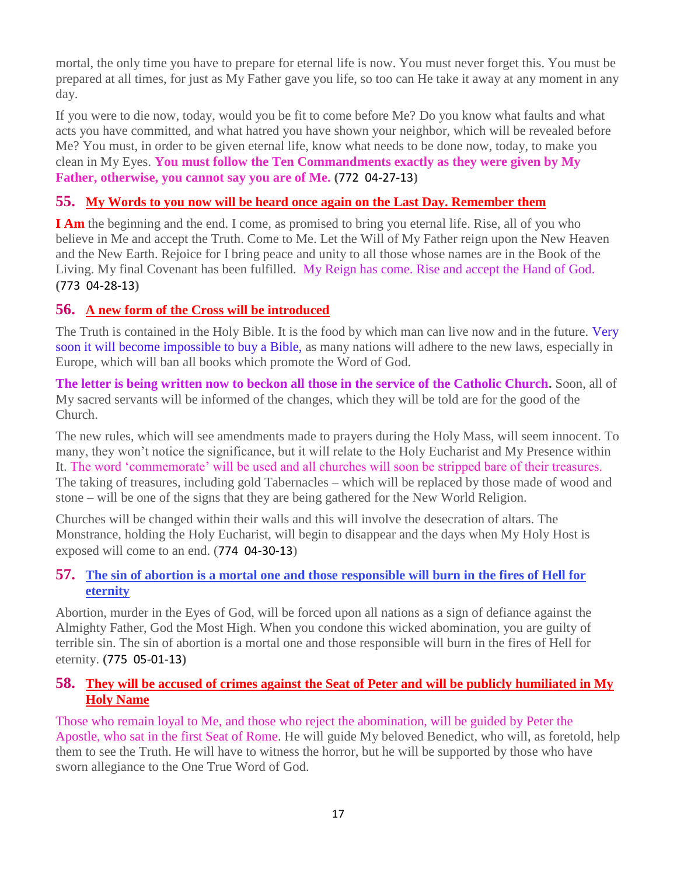mortal, the only time you have to prepare for eternal life is now. You must never forget this. You must be prepared at all times, for just as My Father gave you life, so too can He take it away at any moment in any day.

If you were to die now, today, would you be fit to come before Me? Do you know what faults and what acts you have committed, and what hatred you have shown your neighbor, which will be revealed before Me? You must, in order to be given eternal life, know what needs to be done now, today, to make you clean in My Eyes. **You must follow the Ten Commandments exactly as they were given by My Father, otherwise, you cannot say you are of Me. (**772 04-27-13**)**

## **55. [My Words to you now will be heard once again on the Last Day. Remember](http://www.thewarningsecondcoming.com/my-words-to-you-now-will-be-heard-once-again-on-the-last-day-remember-them-2/) them**

**I Am** the beginning and the end. I come, as promised to bring you eternal life. Rise, all of you who believe in Me and accept the Truth. Come to Me. Let the Will of My Father reign upon the New Heaven and the New Earth. Rejoice for I bring peace and unity to all those whose names are in the Book of the Living. My final Covenant has been fulfilled. My Reign has come. Rise and accept the Hand of God. **(**773 04-28-13**)**

# **56. [A new form of the Cross will be introduced](http://www.thewarningsecondcoming.com/a-new-form-of-the-cross-will-be-introduced/)**

The Truth is contained in the Holy Bible. It is the food by which man can live now and in the future. Very soon it will become impossible to buy a Bible, as many nations will adhere to the new laws, especially in Europe, which will ban all books which promote the Word of God.

**The letter is being written now to beckon all those in the service of the Catholic Church.** Soon, all of My sacred servants will be informed of the changes, which they will be told are for the good of the Church.

The new rules, which will see amendments made to prayers during the Holy Mass, will seem innocent. To many, they won't notice the significance, but it will relate to the Holy Eucharist and My Presence within It. The word 'commemorate' will be used and all churches will soon be stripped bare of their treasures. The taking of treasures, including gold Tabernacles – which will be replaced by those made of wood and stone – will be one of the signs that they are being gathered for the New World Religion.

Churches will be changed within their walls and this will involve the desecration of altars. The Monstrance, holding the Holy Eucharist, will begin to disappear and the days when My Holy Host is exposed will come to an end. (774 04-30-13)

## **57. [The sin of abortion is a mortal one and those responsible will burn in the fires of Hell for](http://www.thewarningsecondcoming.com/the-sin-of-abortion-is-a-mortal-one-and-those-responsible-will-burn-in-the-fires-of-hell-for-eternity/)  [eternity](http://www.thewarningsecondcoming.com/the-sin-of-abortion-is-a-mortal-one-and-those-responsible-will-burn-in-the-fires-of-hell-for-eternity/)**

Abortion, murder in the Eyes of God, will be forced upon all nations as a sign of defiance against the Almighty Father, God the Most High. When you condone this wicked abomination, you are guilty of terrible sin. The sin of abortion is a mortal one and those responsible will burn in the fires of Hell for eternity. **(**775 05-01-13**)**

## **58. [They will be accused of crimes against the Seat of Peter and will be publicly humiliated in My](http://www.thewarningsecondcoming.com/they-will-be-accused-of-crimes-against-the-seat-of-peter-and-will-be-publicly-humiliated-in-my-holy-name/)  [Holy Name](http://www.thewarningsecondcoming.com/they-will-be-accused-of-crimes-against-the-seat-of-peter-and-will-be-publicly-humiliated-in-my-holy-name/)**

Those who remain loyal to Me, and those who reject the abomination, will be guided by Peter the Apostle, who sat in the first Seat of Rome. He will guide My beloved Benedict, who will, as foretold, help them to see the Truth. He will have to witness the horror, but he will be supported by those who have sworn allegiance to the One True Word of God.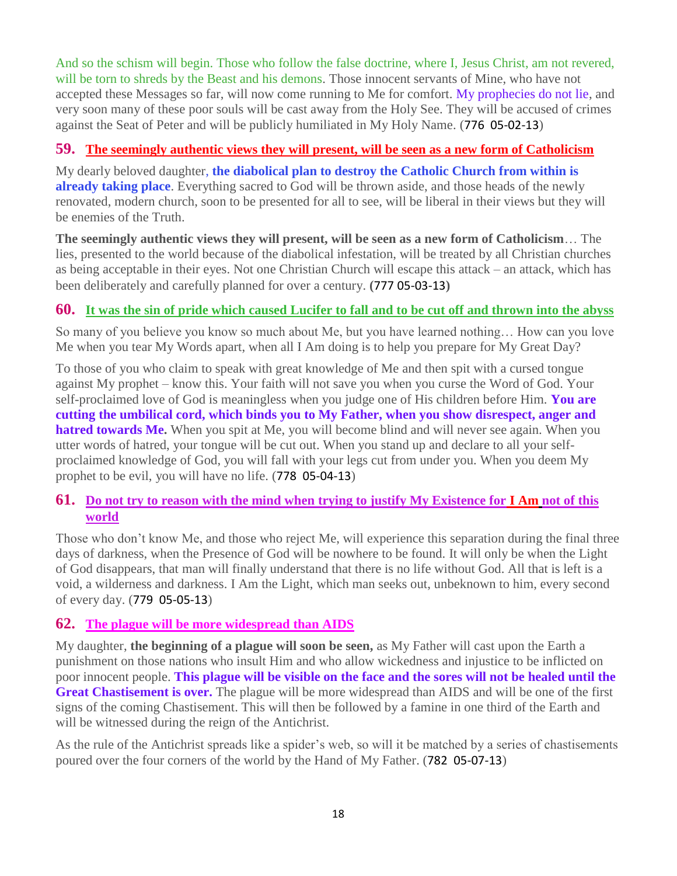And so the schism will begin. Those who follow the false doctrine, where I, Jesus Christ, am not revered, will be torn to shreds by the Beast and his demons. Those innocent servants of Mine, who have not accepted these Messages so far, will now come running to Me for comfort. My prophecies do not lie, and very soon many of these poor souls will be cast away from the Holy See. They will be accused of crimes against the Seat of Peter and will be publicly humiliated in My Holy Name. (776 05-02-13)

# **59. [The seemingly authentic views they will present, will be seen as a new form of Catholicism](http://www.thewarningsecondcoming.com/the-seemingly-authentic-views-they-will-present-will-be-seen-as-a-new-form-of-catholicism/)**

My dearly beloved daughter, **the diabolical plan to destroy the Catholic Church from within is already taking place**. Everything sacred to God will be thrown aside, and those heads of the newly renovated, modern church, soon to be presented for all to see, will be liberal in their views but they will be enemies of the Truth.

**The seemingly authentic views they will present, will be seen as a new form of Catholicism**… The lies, presented to the world because of the diabolical infestation, will be treated by all Christian churches as being acceptable in their eyes. Not one Christian Church will escape this attack – an attack, which has been deliberately and carefully planned for over a century. **(**777 05-03-13**)**

# **60. [It was the sin of pride which caused Lucifer to fall and to be cut off and thrown into the abyss](http://www.thewarningsecondcoming.com/it-was-the-sin-of-pride-which-caused-lucifer-to-fall-and-to-be-cut-off-and-thrown-into-the-abyss/)**

So many of you believe you know so much about Me, but you have learned nothing… How can you love Me when you tear My Words apart, when all I Am doing is to help you prepare for My Great Day?

To those of you who claim to speak with great knowledge of Me and then spit with a cursed tongue against My prophet – know this. Your faith will not save you when you curse the Word of God. Your self-proclaimed love of God is meaningless when you judge one of His children before Him. **You are cutting the umbilical cord, which binds you to My Father, when you show disrespect, anger and hatred towards Me.** When you spit at Me, you will become blind and will never see again. When you utter words of hatred, your tongue will be cut out. When you stand up and declare to all your selfproclaimed knowledge of God, you will fall with your legs cut from under you. When you deem My prophet to be evil, you will have no life. (778 05-04-13)

## **61. [Do not try to reason with the mind when trying to justify My Existence for](http://www.thewarningsecondcoming.com/do-not-try-to-reason-with-the-mind-when-trying-to-justify-my-existence-for-i-am-not-of-this-world/) I Am not of this [world](http://www.thewarningsecondcoming.com/do-not-try-to-reason-with-the-mind-when-trying-to-justify-my-existence-for-i-am-not-of-this-world/)**

Those who don't know Me, and those who reject Me, will experience this separation during the final three days of darkness, when the Presence of God will be nowhere to be found. It will only be when the Light of God disappears, that man will finally understand that there is no life without God. All that is left is a void, a wilderness and darkness. I Am the Light, which man seeks out, unbeknown to him, every second of every day. (779 05-05-13)

# **62. [The plague will be more widespread than AIDS](http://www.thewarningsecondcoming.com/the-plague-will-be-more-widespread-than-aids/)**

My daughter, **the beginning of a plague will soon be seen,** as My Father will cast upon the Earth a punishment on those nations who insult Him and who allow wickedness and injustice to be inflicted on poor innocent people. **This plague will be visible on the face and the sores will not be healed until the Great Chastisement is over.** The plague will be more widespread than AIDS and will be one of the first signs of the coming Chastisement. This will then be followed by a famine in one third of the Earth and will be witnessed during the reign of the Antichrist.

As the rule of the Antichrist spreads like a spider's web, so will it be matched by a series of chastisements poured over the four corners of the world by the Hand of My Father. (782 05-07-13)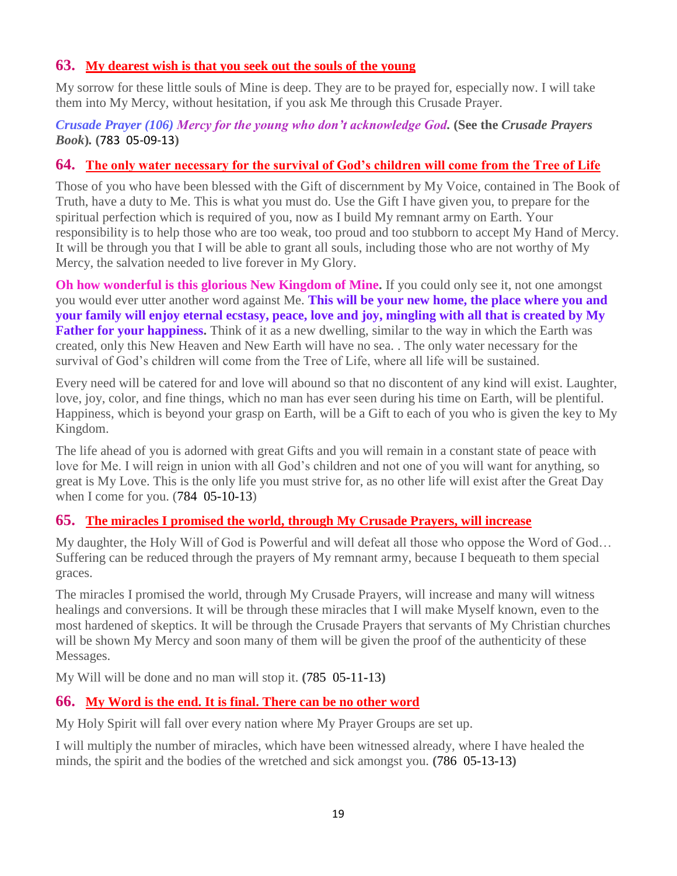## **63. [My dearest wish is that you seek out the souls of the young](http://www.thewarningsecondcoming.com/my-dearest-wish-is-that-you-seek-out-the-souls-of-the-young/)**

My sorrow for these little souls of Mine is deep. They are to be prayed for, especially now. I will take them into My Mercy, without hesitation, if you ask Me through this Crusade Prayer.

## *Crusade Prayer (106) Mercy for the young who don't acknowledge God.* **(See the** *Crusade Prayers Book***)***.* **(**783 05-09-13**)**

## **64. [The only water necessary for the survival of God's children will come from the Tree of Life](http://www.thewarningsecondcoming.com/the-only-water-necessary-for-the-survival-of-gods-children-will-come-from-the-tree-of-life/)**

Those of you who have been blessed with the Gift of discernment by My Voice, contained in The Book of Truth, have a duty to Me. This is what you must do. Use the Gift I have given you, to prepare for the spiritual perfection which is required of you, now as I build My remnant army on Earth. Your responsibility is to help those who are too weak, too proud and too stubborn to accept My Hand of Mercy. It will be through you that I will be able to grant all souls, including those who are not worthy of My Mercy, the salvation needed to live forever in My Glory.

**Oh how wonderful is this glorious New Kingdom of Mine.** If you could only see it, not one amongst you would ever utter another word against Me. **This will be your new home, the place where you and your family will enjoy eternal ecstasy, peace, love and joy, mingling with all that is created by My Father for your happiness.** Think of it as a new dwelling, similar to the way in which the Earth was created, only this New Heaven and New Earth will have no sea. . The only water necessary for the survival of God's children will come from the Tree of Life, where all life will be sustained.

Every need will be catered for and love will abound so that no discontent of any kind will exist. Laughter, love, joy, color, and fine things, which no man has ever seen during his time on Earth, will be plentiful. Happiness, which is beyond your grasp on Earth, will be a Gift to each of you who is given the key to My Kingdom.

The life ahead of you is adorned with great Gifts and you will remain in a constant state of peace with love for Me. I will reign in union with all God's children and not one of you will want for anything, so great is My Love. This is the only life you must strive for, as no other life will exist after the Great Day when I come for you. (784 05-10-13)

# **65. [The miracles I promised the world, through My Crusade Prayers, will increase](http://www.thewarningsecondcoming.com/the-miracles-i-promised-the-world-through-my-crusade-prayers-will-increase/)**

My daughter, the Holy Will of God is Powerful and will defeat all those who oppose the Word of God… Suffering can be reduced through the prayers of My remnant army, because I bequeath to them special graces.

The miracles I promised the world, through My Crusade Prayers, will increase and many will witness healings and conversions. It will be through these miracles that I will make Myself known, even to the most hardened of skeptics. It will be through the Crusade Prayers that servants of My Christian churches will be shown My Mercy and soon many of them will be given the proof of the authenticity of these Messages.

My Will will be done and no man will stop it. **(**785 05-11-13**)**

## **66. [My Word is the end. It is final. There can be no other word](http://www.thewarningsecondcoming.com/my-word-is-the-end-it-is-final-there-can-be-no-other-word/)**

My Holy Spirit will fall over every nation where My Prayer Groups are set up.

I will multiply the number of miracles, which have been witnessed already, where I have healed the minds, the spirit and the bodies of the wretched and sick amongst you. **(**786 05-13-13**)**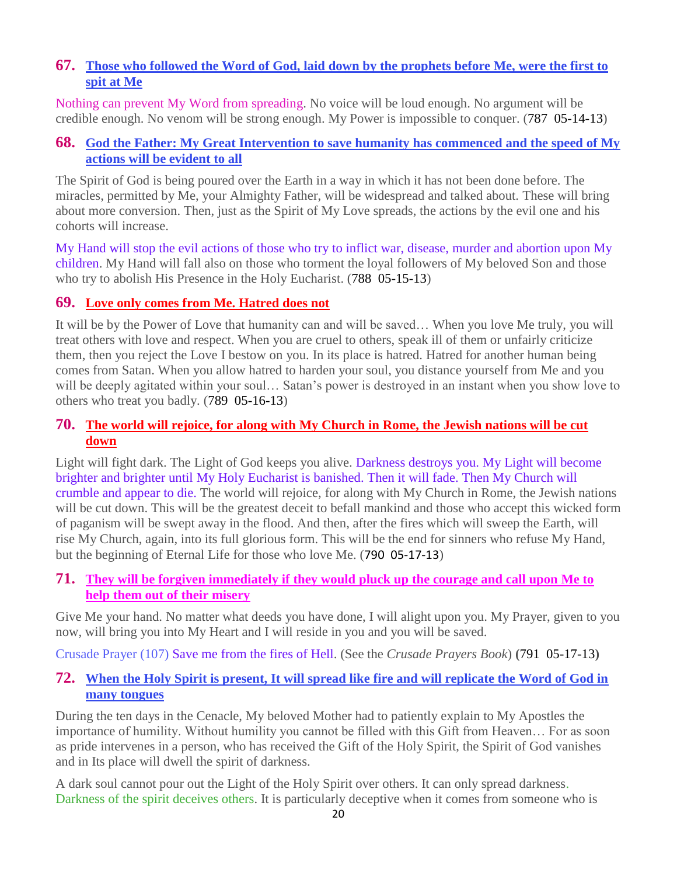# **67. [Those who followed the Word of God, laid down by the prophets before Me, were the first to](http://www.thewarningsecondcoming.com/those-who-followed-the-word-of-god-laid-down-by-the-prophets-before-me-were-the-first-to-spit-at-me/)  [spit at Me](http://www.thewarningsecondcoming.com/those-who-followed-the-word-of-god-laid-down-by-the-prophets-before-me-were-the-first-to-spit-at-me/)**

Nothing can prevent My Word from spreading. No voice will be loud enough. No argument will be credible enough. No venom will be strong enough. My Power is impossible to conquer. (787 05-14-13)

# **68. [God the Father: My Great Intervention to save humanity has commenced and the speed of My](http://www.thewarningsecondcoming.com/god-the-father-my-great-intervention-to-save-humanity-has-commenced-and-the-speed-of-my-actions-will-be-evident-to-all/)  [actions will be evident to all](http://www.thewarningsecondcoming.com/god-the-father-my-great-intervention-to-save-humanity-has-commenced-and-the-speed-of-my-actions-will-be-evident-to-all/)**

The Spirit of God is being poured over the Earth in a way in which it has not been done before. The miracles, permitted by Me, your Almighty Father, will be widespread and talked about. These will bring about more conversion. Then, just as the Spirit of My Love spreads, the actions by the evil one and his cohorts will increase.

My Hand will stop the evil actions of those who try to inflict war, disease, murder and abortion upon My children. My Hand will fall also on those who torment the loyal followers of My beloved Son and those who try to abolish His Presence in the Holy Eucharist. (788 05-15-13)

## **69. [Love only comes from Me. Hatred does not](http://www.thewarningsecondcoming.com/love-only-comes-from-me-hatred-does-not/)**

It will be by the Power of Love that humanity can and will be saved… When you love Me truly, you will treat others with love and respect. When you are cruel to others, speak ill of them or unfairly criticize them, then you reject the Love I bestow on you. In its place is hatred. Hatred for another human being comes from Satan. When you allow hatred to harden your soul, you distance yourself from Me and you will be deeply agitated within your soul... Satan's power is destroyed in an instant when you show love to others who treat you badly. (789 05-16-13)

## **70. [The world will rejoice, for along with My Church in Rome, the Jewish nations will be cut](http://www.thewarningsecondcoming.com/the-world-will-rejoice-for-along-with-my-church-in-rome-the-jewish-nations-will-be-cut-down/)  [down](http://www.thewarningsecondcoming.com/the-world-will-rejoice-for-along-with-my-church-in-rome-the-jewish-nations-will-be-cut-down/)**

Light will fight dark. The Light of God keeps you alive. Darkness destroys you. My Light will become brighter and brighter until My Holy Eucharist is banished. Then it will fade. Then My Church will crumble and appear to die. The world will rejoice, for along with My Church in Rome, the Jewish nations will be cut down. This will be the greatest deceit to befall mankind and those who accept this wicked form of paganism will be swept away in the flood. And then, after the fires which will sweep the Earth, will rise My Church, again, into its full glorious form. This will be the end for sinners who refuse My Hand, but the beginning of Eternal Life for those who love Me. (790 05-17-13)

## **71. [They will be forgiven immediately if they would pluck up the courage and call upon Me to](http://www.thewarningsecondcoming.com/they-will-be-forgiven-immediately-if-they-would-pluck-up-the-courage-and-call-upon-me-to-help-them-out-of-their-misery/)  [help them out of their misery](http://www.thewarningsecondcoming.com/they-will-be-forgiven-immediately-if-they-would-pluck-up-the-courage-and-call-upon-me-to-help-them-out-of-their-misery/)**

Give Me your hand. No matter what deeds you have done, I will alight upon you. My Prayer, given to you now, will bring you into My Heart and I will reside in you and you will be saved.

Crusade Prayer (107) Save me from the fires of Hell. (See the *Crusade Prayers Book*) **(**791 05-17-13**)**

## **72. [When the Holy Spirit is present, It will spread like fire and will replicate the Word of God in](http://www.thewarningsecondcoming.com/when-the-holy-spirit-is-present-it-will-spread-like-fire-and-will-replicate-the-word-of-god-in-many-tongues/)  [many tongues](http://www.thewarningsecondcoming.com/when-the-holy-spirit-is-present-it-will-spread-like-fire-and-will-replicate-the-word-of-god-in-many-tongues/)**

During the ten days in the Cenacle, My beloved Mother had to patiently explain to My Apostles the importance of humility. Without humility you cannot be filled with this Gift from Heaven… For as soon as pride intervenes in a person, who has received the Gift of the Holy Spirit, the Spirit of God vanishes and in Its place will dwell the spirit of darkness.

A dark soul cannot pour out the Light of the Holy Spirit over others. It can only spread darkness. Darkness of the spirit deceives others. It is particularly deceptive when it comes from someone who is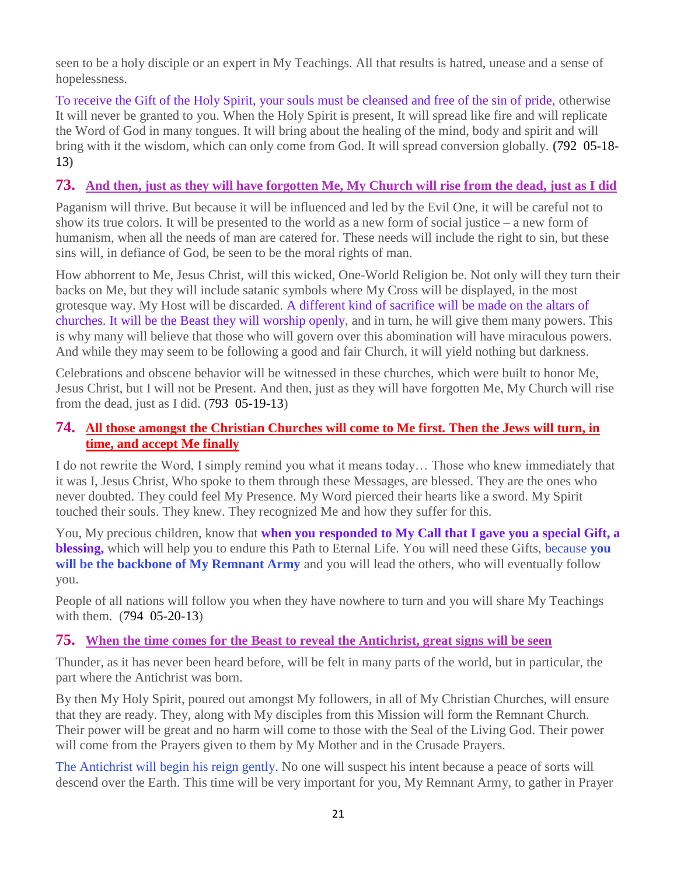seen to be a holy disciple or an expert in My Teachings. All that results is hatred, unease and a sense of hopelessness.

To receive the Gift of the Holy Spirit, your souls must be cleansed and free of the sin of pride, otherwise It will never be granted to you. When the Holy Spirit is present, It will spread like fire and will replicate the Word of God in many tongues. It will bring about the healing of the mind, body and spirit and will bring with it the wisdom, which can only come from God. It will spread conversion globally. **(**792 05-18- 13**)**

# **73. [And then, just as they will have forgotten Me, My Church will rise from the dead, just as I did](http://www.thewarningsecondcoming.com/and-then-just-as-they-will-have-forgotten-me-my-church-will-rise-from-the-dead-just-as-i-did/)**

Paganism will thrive. But because it will be influenced and led by the Evil One, it will be careful not to show its true colors. It will be presented to the world as a new form of social justice – a new form of humanism, when all the needs of man are catered for. These needs will include the right to sin, but these sins will, in defiance of God, be seen to be the moral rights of man.

How abhorrent to Me, Jesus Christ, will this wicked, One-World Religion be. Not only will they turn their backs on Me, but they will include satanic symbols where My Cross will be displayed, in the most grotesque way. My Host will be discarded. A different kind of sacrifice will be made on the altars of churches. It will be the Beast they will worship openly, and in turn, he will give them many powers. This is why many will believe that those who will govern over this abomination will have miraculous powers. And while they may seem to be following a good and fair Church, it will yield nothing but darkness.

Celebrations and obscene behavior will be witnessed in these churches, which were built to honor Me, Jesus Christ, but I will not be Present. And then, just as they will have forgotten Me, My Church will rise from the dead, just as I did. (793 05-19-13)

## **74. [All those amongst the Christian Churches will come to Me first. Then the Jews will turn, in](http://www.thewarningsecondcoming.com/all-those-amongst-the-christian-churches-will-come-to-me-first-then-the-jews-will-turn-in-time-and-accept-me-finally/)  [time, and accept Me finally](http://www.thewarningsecondcoming.com/all-those-amongst-the-christian-churches-will-come-to-me-first-then-the-jews-will-turn-in-time-and-accept-me-finally/)**

I do not rewrite the Word, I simply remind you what it means today… Those who knew immediately that it was I, Jesus Christ, Who spoke to them through these Messages, are blessed. They are the ones who never doubted. They could feel My Presence. My Word pierced their hearts like a sword. My Spirit touched their souls. They knew. They recognized Me and how they suffer for this.

You, My precious children, know that **when you responded to My Call that I gave you a special Gift, a blessing,** which will help you to endure this Path to Eternal Life. You will need these Gifts, because **you will be the backbone of My Remnant Army** and you will lead the others, who will eventually follow you.

People of all nations will follow you when they have nowhere to turn and you will share My Teachings with them. (794 05-20-13)

## **75. [When the time comes for the Beast to reveal the Antichrist, great signs will be seen](http://www.thewarningsecondcoming.com/when-the-time-comes-for-the-beast-to-reveal-the-antichrist-great-signs-will-be-seen/)**

Thunder, as it has never been heard before, will be felt in many parts of the world, but in particular, the part where the Antichrist was born.

By then My Holy Spirit, poured out amongst My followers, in all of My Christian Churches, will ensure that they are ready. They, along with My disciples from this Mission will form the Remnant Church. Their power will be great and no harm will come to those with the Seal of the Living God. Their power will come from the Prayers given to them by My Mother and in the Crusade Prayers.

The Antichrist will begin his reign gently. No one will suspect his intent because a peace of sorts will descend over the Earth. This time will be very important for you, My Remnant Army, to gather in Prayer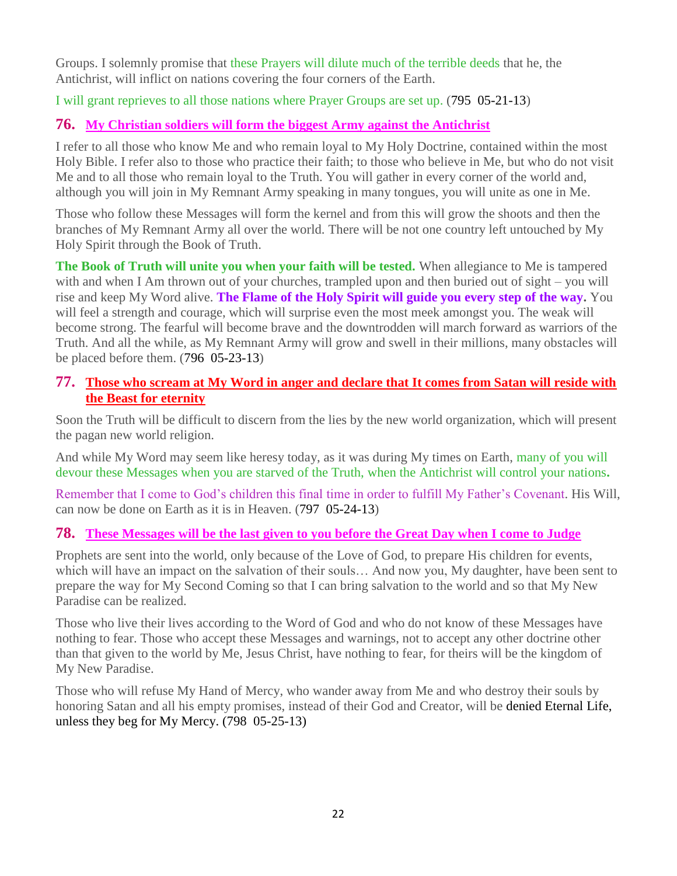Groups. I solemnly promise that these Prayers will dilute much of the terrible deeds that he, the Antichrist, will inflict on nations covering the four corners of the Earth.

I will grant reprieves to all those nations where Prayer Groups are set up. (795 05-21-13)

# **76. [My Christian soldiers will form the biggest Army against the Antichrist](http://www.thewarningsecondcoming.com/my-christian-soldiers-will-form-the-biggest-army-against-the-antichrist/)**

I refer to all those who know Me and who remain loyal to My Holy Doctrine, contained within the most Holy Bible. I refer also to those who practice their faith; to those who believe in Me, but who do not visit Me and to all those who remain loyal to the Truth. You will gather in every corner of the world and, although you will join in My Remnant Army speaking in many tongues, you will unite as one in Me.

Those who follow these Messages will form the kernel and from this will grow the shoots and then the branches of My Remnant Army all over the world. There will be not one country left untouched by My Holy Spirit through the Book of Truth.

**The Book of Truth will unite you when your faith will be tested.** When allegiance to Me is tampered with and when I Am thrown out of your churches, trampled upon and then buried out of sight – you will rise and keep My Word alive. **The Flame of the Holy Spirit will guide you every step of the way.** You will feel a strength and courage, which will surprise even the most meek amongst you. The weak will become strong. The fearful will become brave and the downtrodden will march forward as warriors of the Truth. And all the while, as My Remnant Army will grow and swell in their millions, many obstacles will be placed before them. (796 05-23-13)

# **77. [Those who scream at My Word in anger and declare that It comes from Satan will reside with](http://www.thewarningsecondcoming.com/those-who-scream-at-my-word-in-anger-and-declare-that-it-comes-from-satan-will-reside-with-the-beast-for-eternity/)  [the Beast for eternity](http://www.thewarningsecondcoming.com/those-who-scream-at-my-word-in-anger-and-declare-that-it-comes-from-satan-will-reside-with-the-beast-for-eternity/)**

Soon the Truth will be difficult to discern from the lies by the new world organization, which will present the pagan new world religion.

And while My Word may seem like heresy today, as it was during My times on Earth, many of you will devour these Messages when you are starved of the Truth, when the Antichrist will control your nations**.**

Remember that I come to God's children this final time in order to fulfill My Father's Covenant. His Will, can now be done on Earth as it is in Heaven. (797 05-24-13)

# **78. [These Messages will be the last given to you before the Great Day when I come to Judge](http://www.thewarningsecondcoming.com/these-messages-will-be-the-last-given-to-you-before-the-great-day-when-i-come-to-judge/)**

Prophets are sent into the world, only because of the Love of God, to prepare His children for events, which will have an impact on the salvation of their souls… And now you, My daughter, have been sent to prepare the way for My Second Coming so that I can bring salvation to the world and so that My New Paradise can be realized.

Those who live their lives according to the Word of God and who do not know of these Messages have nothing to fear. Those who accept these Messages and warnings, not to accept any other doctrine other than that given to the world by Me, Jesus Christ, have nothing to fear, for theirs will be the kingdom of My New Paradise.

Those who will refuse My Hand of Mercy, who wander away from Me and who destroy their souls by honoring Satan and all his empty promises, instead of their God and Creator, will be denied Eternal Life, unless they beg for My Mercy. (798 05-25-13)